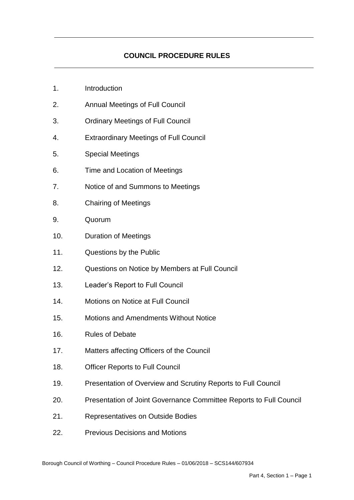# **COUNCIL PROCEDURE RULES**

- $1<sub>1</sub>$ **Introduction**
- $2<sub>1</sub>$ 2. Annual Meetings of Full Council
- $3<sub>1</sub>$ **Ordinary Meetings of Full Council**
- 4. 4. Extraordinary Meetings of Full Council
- $5^{\circ}$ Special Meetings
- 6. Time and Location of Meetings
- $\overline{7}$ . Notice of and Summons to Meetings
- 8. 8. Chairing of Meetings
- 9. 9. Quorum
- $10.$ Duration of Meetings
- $11$ Questions by the Public
- $12<sub>1</sub>$ Questions on Notice by Members at Full Council
- $13.$ Leader's Report to Full Council
- $14<sub>1</sub>$ Motions on Notice at Full Council
- $15.$ Motions and Amendments Without Notice
- $16.$ Rules of Debate
- $17.$ Matters affecting Officers of the Council
- $18.$ **Officer Reports to Full Council**
- $19<sub>1</sub>$ Presentation of Overview and Scrutiny Reports to Full Council
- $20.$ Presentation of Joint Governance Committee Reports to Full Council
- $21.$ **Representatives on Outside Bodies**
- $22.$ Previous Decisions and Motions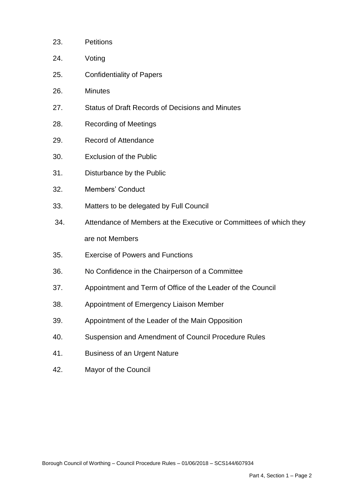| 23. | <b>Petitions</b>                                                   |
|-----|--------------------------------------------------------------------|
| 24. | Voting                                                             |
| 25. | <b>Confidentiality of Papers</b>                                   |
| 26. | <b>Minutes</b>                                                     |
| 27. | <b>Status of Draft Records of Decisions and Minutes</b>            |
| 28. | <b>Recording of Meetings</b>                                       |
| 29. | <b>Record of Attendance</b>                                        |
| 30. | <b>Exclusion of the Public</b>                                     |
| 31. | Disturbance by the Public                                          |
| 32. | <b>Members' Conduct</b>                                            |
| 33. | Matters to be delegated by Full Council                            |
| 34. | Attendance of Members at the Executive or Committees of which they |
|     | are not Members                                                    |
| 35. | <b>Exercise of Powers and Functions</b>                            |
| 36. | No Confidence in the Chairperson of a Committee                    |
| 37. | Appointment and Term of Office of the Leader of the Council        |
| 38. | Appointment of Emergency Liaison Member                            |
| 39. | Appointment of the Leader of the Main Opposition                   |
| 40. | Suspension and Amendment of Council Procedure Rules                |
| 41. | <b>Business of an Urgent Nature</b>                                |
| 42. | Mayor of the Council                                               |
|     |                                                                    |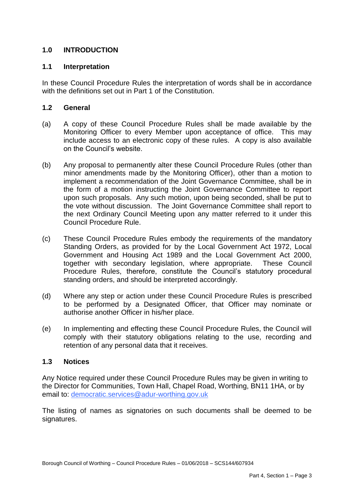# **1.0 INTRODUCTION**

#### **1.1 Interpretation**

 In these Council Procedure Rules the interpretation of words shall be in accordance with the definitions set out in Part 1 of the Constitution.

## **1.2 General**

- $(a)$  Monitoring Officer to every Member upon acceptance of office. This may include access to an electronic copy of these rules. A copy is also available A copy of these Council Procedure Rules shall be made available by the on the Council's website.
- $(b)$  minor amendments made by the Monitoring Officer), other than a motion to implement a recommendation of the Joint Governance Committee, shall be in the form of a motion instructing the Joint Governance Committee to report upon such proposals. Any such motion, upon being seconded, shall be put to the vote without discussion. The Joint Governance Committee shall report to the next Ordinary Council Meeting upon any matter referred to it under this Any proposal to permanently alter these Council Procedure Rules (other than Council Procedure Rule.
- $(c)$  Standing Orders, as provided for by the Local Government Act 1972, Local Government and Housing Act 1989 and the Local Government Act 2000, Procedure Rules, therefore, constitute the Council's statutory procedural These Council Procedure Rules embody the requirements of the mandatory together with secondary legislation, where appropriate. These Council standing orders, and should be interpreted accordingly.
- (d) Where any step or action under these Council Procedure Rules is prescribed to be performed by a Designated Officer, that Officer may nominate or authorise another Officer in his/her place.
- $(e)$  comply with their statutory obligations relating to the use, recording and In implementing and effecting these Council Procedure Rules, the Council will retention of any personal data that it receives.

#### $1.3$ **1.3 Notices**

 Any Notice required under these Council Procedure Rules may be given in writing to the Director for Communities, Town Hall, Chapel Road, Worthing, BN11 1HA, or by email to: [democratic.services@adur-worthing.gov.uk](mailto:democratic.services@adur-worthing.gov.uk) 

 The listing of names as signatories on such documents shall be deemed to be signatures.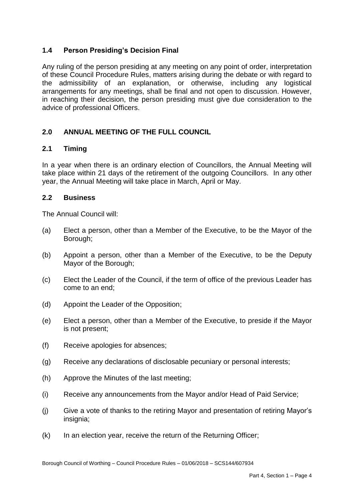# **1.4 Person Presiding's Decision Final**

 Any ruling of the person presiding at any meeting on any point of order, interpretation of these Council Procedure Rules, matters arising during the debate or with regard to the admissibility of an explanation, or otherwise, including any logistical arrangements for any meetings, shall be final and not open to discussion. However, in reaching their decision, the person presiding must give due consideration to the advice of professional Officers.

# **2.0 ANNUAL MEETING OF THE FULL COUNCIL**

#### $2.1$ **2.1 Timing**

 In a year when there is an ordinary election of Councillors, the Annual Meeting will take place within 21 days of the retirement of the outgoing Councillors. In any other year, the Annual Meeting will take place in March, April or May.

## **2.2 Business**

The Annual Council will:

- $(a)$ Elect a person, other than a Member of the Executive, to be the Mayor of the Borough;
- $(b)$  Mayor of the Borough; Appoint a person, other than a Member of the Executive, to be the Deputy
- $(c)$  come to an end; Elect the Leader of the Council, if the term of office of the previous Leader has
- (d) Appoint the Leader of the Opposition;
- (e) Elect a person, other than a Member of the Executive, to preside if the Mayor is not present;
- (f) Receive apologies for absences;
- (g) Receive any declarations of disclosable pecuniary or personal interests;
- (h) Approve the Minutes of the last meeting;
- (i) Receive any announcements from the Mayor and/or Head of Paid Service;
- $(i)$ Give a vote of thanks to the retiring Mayor and presentation of retiring Mayor's insignia;
- $(k)$  In an election year, receive the return of the Returning Officer;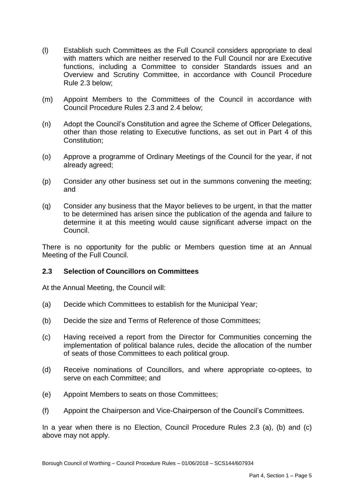- (l) Establish such Committees as the Full Council considers appropriate to deal with matters which are neither reserved to the Full Council nor are Executive functions, including a Committee to consider Standards issues and an Overview and Scrutiny Committee, in accordance with Council Procedure Rule 2.3 below;
- (m) Appoint Members to the Committees of the Council in accordance with Council Procedure Rules 2.3 and 2.4 below;
- other than those relating to Executive functions, as set out in Part 4 of this (n) Adopt the Council's Constitution and agree the Scheme of Officer Delegations, Constitution:
- (o) Approve a programme of Ordinary Meetings of the Council for the year, if not already agreed;
- (p) Consider any other business set out in the summons convening the meeting; and
- (q) Consider any business that the Mayor believes to be urgent, in that the matter to be determined has arisen since the publication of the agenda and failure to determine it at this meeting would cause significant adverse impact on the Council.

 There is no opportunity for the public or Members question time at an Annual Meeting of the Full Council.

## **2.3 Selection of Councillors on Committees**

At the Annual Meeting, the Council will:

- (a) Decide which Committees to establish for the Municipal Year;
- (b) Decide the size and Terms of Reference of those Committees;
- $(c)$  implementation of political balance rules, decide the allocation of the number Having received a report from the Director for Communities concerning the of seats of those Committees to each political group.
- (d) Receive nominations of Councillors, and where appropriate co-optees, to serve on each Committee; and
- $(e)$ Appoint Members to seats on those Committees:
- (f) Appoint the Chairperson and Vice-Chairperson of the Council's Committees.

 In a year when there is no Election, Council Procedure Rules 2.3 (a), (b) and (c) above may not apply.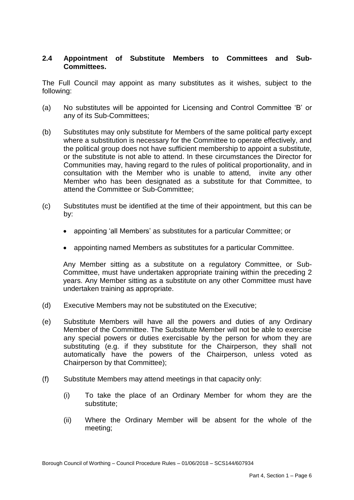## **2.4 Appointment of Substitute Members to Committees and Sub-Committees.**

 The Full Council may appoint as many substitutes as it wishes, subject to the following:

- (a) No substitutes will be appointed for Licensing and Control Committee 'B' or any of its Sub-Committees;
- (b) Substitutes may only substitute for Members of the same political party except where a substitution is necessary for the Committee to operate effectively, and or the substitute is not able to attend. In these circumstances the Director for Communities may, having regard to the rules of political proportionality, and in consultation with the Member who is unable to attend, invite any other Member who has been designated as a substitute for that Committee, to the political group does not have sufficient membership to appoint a substitute, attend the Committee or Sub-Committee;
- (c) Substitutes must be identified at the time of their appointment, but this can be by:
	- appointing 'all Members' as substitutes for a particular Committee; or
	- appointing named Members as substitutes for a particular Committee.

 Any Member sitting as a substitute on a regulatory Committee, or Sub- Committee, must have undertaken appropriate training within the preceding 2 years. Any Member sitting as a substitute on any other Committee must have undertaken training as appropriate.

- (d) Executive Members may not be substituted on the Executive;
- (e) Substitute Members will have all the powers and duties of any Ordinary Member of the Committee. The Substitute Member will not be able to exercise any special powers or duties exercisable by the person for whom they are substituting (e.g. if they substitute for the Chairperson, they shall not automatically have the powers of the Chairperson, unless voted as Chairperson by that Committee);
- (f) Substitute Members may attend meetings in that capacity only:
	- $(i)$ To take the place of an Ordinary Member for whom they are the substitute;
	- (ii) Where the Ordinary Member will be absent for the whole of the meeting;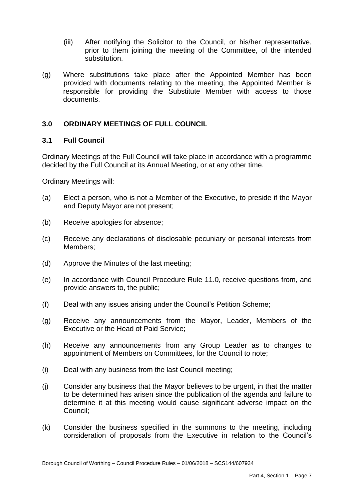- (iii) After notifying the Solicitor to the Council, or his/her representative, prior to them joining the meeting of the Committee, of the intended substitution.
- $(q)$  provided with documents relating to the meeting, the Appointed Member is responsible for providing the Substitute Member with access to those Where substitutions take place after the Appointed Member has been documents.

## **3.0 ORDINARY MEETINGS OF FULL COUNCIL**

#### **3.1 Full Council**

Ordinary Meetings of the Full Council will take place in accordance with a programme decided by the Full Council at its Annual Meeting, or at any other time.

Ordinary Meetings will:

- $(a)$  and Deputy Mayor are not present; Elect a person, who is not a Member of the Executive, to preside if the Mayor
- (b) Receive apologies for absence;
- (c) Receive any declarations of disclosable pecuniary or personal interests from Members;
- (d) Approve the Minutes of the last meeting;
- (e) In accordance with Council Procedure Rule 11.0, receive questions from, and provide answers to, the public;
- (f) Deal with any issues arising under the Council's Petition Scheme;
- (g) Receive any announcements from the Mayor, Leader, Members of the Executive or the Head of Paid Service;
- (h) Receive any announcements from any Group Leader as to changes to appointment of Members on Committees, for the Council to note;
- (i) Deal with any business from the last Council meeting;
- (j) Consider any business that the Mayor believes to be urgent, in that the matter to be determined has arisen since the publication of the agenda and failure to determine it at this meeting would cause significant adverse impact on the Council;
- (k) Consider the business specified in the summons to the meeting, including consideration of proposals from the Executive in relation to the Council's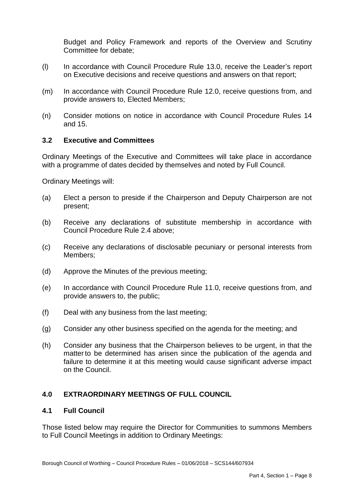Budget and Policy Framework and reports of the Overview and Scrutiny Committee for debate;

- $(1)$  on Executive decisions and receive questions and answers on that report; In accordance with Council Procedure Rule 13.0, receive the Leader's report
- $(m)$ In accordance with Council Procedure Rule 12.0, receive questions from, and provide answers to, Elected Members;
- (n) Consider motions on notice in accordance with Council Procedure Rules 14 and 15.

#### **3.2 Executive and Committees**

 Ordinary Meetings of the Executive and Committees will take place in accordance with a programme of dates decided by themselves and noted by Full Council.

Ordinary Meetings will:

- $(a)$ Elect a person to preside if the Chairperson and Deputy Chairperson are not present;
- (b) Receive any declarations of substitute membership in accordance with Council Procedure Rule 2.4 above;
- (c) Receive any declarations of disclosable pecuniary or personal interests from Members;
- (d) Approve the Minutes of the previous meeting;
- $(e)$ In accordance with Council Procedure Rule 11.0, receive questions from, and provide answers to, the public;
- (f) Deal with any business from the last meeting;
- (g) Consider any other business specified on the agenda for the meeting; and
- (h) Consider any business that the Chairperson believes to be urgent, in that the matter to be determined has arisen since the publication of the agenda and failure to determine it at this meeting would cause significant adverse impact on the Council.

## **4.0 EXTRAORDINARY MEETINGS OF FULL COUNCIL**

#### **4.1 Full Council**

 Those listed below may require the Director for Communities to summons Members to Full Council Meetings in addition to Ordinary Meetings: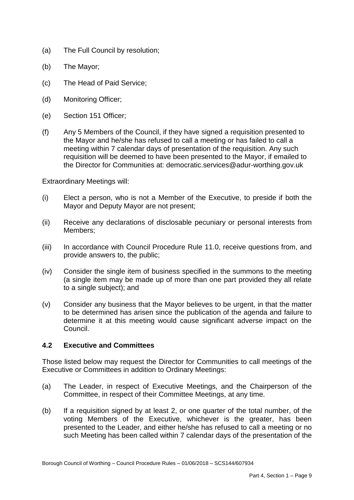- (a) The Full Council by resolution;
- (b) The Mayor;
- $(c)$ The Head of Paid Service;
- (d) Monitoring Officer;
- (e) Section 151 Officer;
- $(f)$  the Mayor and he/she has refused to call a meeting or has failed to call a meeting within 7 calendar days of presentation of the requisition. Any such requisition will be deemed to have been presented to the Mayor, if emailed to Any 5 Members of the Council, if they have signed a requisition presented to the Director for Communities at: democratic.services@adur-worthing.gov.uk

Extraordinary Meetings will:

- $(i)$ Elect a person, who is not a Member of the Executive, to preside if both the Mayor and Deputy Mayor are not present;
- (ii) Receive any declarations of disclosable pecuniary or personal interests from Members;
- $(iii)$ In accordance with Council Procedure Rule 11.0, receive questions from, and provide answers to, the public;
- (iv) Consider the single item of business specified in the summons to the meeting (a single item may be made up of more than one part provided they all relate to a single subject); and
- (v) Consider any business that the Mayor believes to be urgent, in that the matter to be determined has arisen since the publication of the agenda and failure to determine it at this meeting would cause significant adverse impact on the Council.

## **4.2 Executive and Committees**

 Those listed below may request the Director for Communities to call meetings of the Executive or Committees in addition to Ordinary Meetings:

- $(a)$ The Leader, in respect of Executive Meetings, and the Chairperson of the Committee, in respect of their Committee Meetings, at any time.
- $(b)$  voting Members of the Executive, whichever is the greater, has been presented to the Leader, and either he/she has refused to call a meeting or no such Meeting has been called within 7 calendar days of the presentation of the If a requisition signed by at least 2, or one quarter of the total number, of the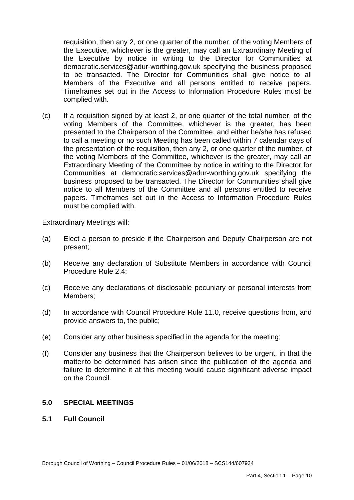requisition, then any 2, or one quarter of the number, of the voting Members of the Executive, whichever is the greater, may call an Extraordinary Meeting of the Executive by notice in writing to the Director for Communities at democratic.services@adur-worthing.gov.uk specifying the business proposed to be transacted. The Director for Communities shall give notice to all Members of the Executive and all persons entitled to receive papers. Timeframes set out in the Access to Information Procedure Rules must be complied with.

 $(c)$  voting Members of the Committee, whichever is the greater, has been presented to the Chairperson of the Committee, and either he/she has refused to call a meeting or no such Meeting has been called within 7 calendar days of the presentation of the requisition, then any 2, or one quarter of the number, of the voting Members of the Committee, whichever is the greater, may call an Extraordinary Meeting of the Committee by notice in writing to the Director for Communities at democratic.services@adur-worthing.gov.uk specifying the business proposed to be transacted. The Director for Communities shall give notice to all Members of the Committee and all persons entitled to receive papers. Timeframes set out in the Access to Information Procedure Rules If a requisition signed by at least 2, or one quarter of the total number, of the must be complied with.

Extraordinary Meetings will:

- $(a)$ Elect a person to preside if the Chairperson and Deputy Chairperson are not present;
- (b) Receive any declaration of Substitute Members in accordance with Council Procedure Rule 2.4;
- (c) Receive any declarations of disclosable pecuniary or personal interests from Members;
- $(d)$ In accordance with Council Procedure Rule 11.0, receive questions from, and provide answers to, the public;
- (e) Consider any other business specified in the agenda for the meeting;
- (f) Consider any business that the Chairperson believes to be urgent, in that the matter to be determined has arisen since the publication of the agenda and failure to determine it at this meeting would cause significant adverse impact on the Council.

## **5.0 SPECIAL MEETINGS**

**5.1 Full Council**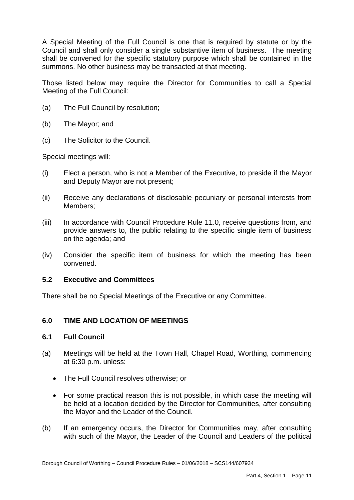A Special Meeting of the Full Council is one that is required by statute or by the Council and shall only consider a single substantive item of business. The meeting shall be convened for the specific statutory purpose which shall be contained in the summons. No other business may be transacted at that meeting.

 Those listed below may require the Director for Communities to call a Special Meeting of the Full Council:

- (a) The Full Council by resolution;
- (b) The Mayor; and
- $(c)$ The Solicitor to the Council.

Special meetings will:

- $(i)$ Elect a person, who is not a Member of the Executive, to preside if the Mayor and Deputy Mayor are not present;
- (ii) Receive any declarations of disclosable pecuniary or personal interests from Members:
- $(iii)$  provide answers to, the public relating to the specific single item of business In accordance with Council Procedure Rule 11.0, receive questions from, and on the agenda; and
- (iv) Consider the specific item of business for which the meeting has been convened.

#### **5.2 Executive and Committees**

There shall be no Special Meetings of the Executive or any Committee.

## **6.0 TIME AND LOCATION OF MEETINGS**

#### **6.1 Full Council**

- (a) Meetings will be held at the Town Hall, Chapel Road, Worthing, commencing at 6:30 p.m. unless:
	- The Full Council resolves otherwise; or
	- For some practical reason this is not possible, in which case the meeting will be held at a location decided by the Director for Communities, after consulting the Mayor and the Leader of the Council.
- $(b)$  with such of the Mayor, the Leader of the Council and Leaders of the political If an emergency occurs, the Director for Communities may, after consulting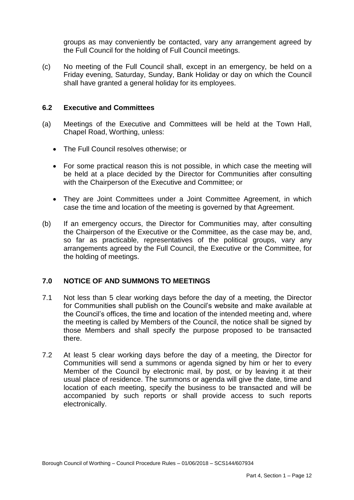groups as may conveniently be contacted, vary any arrangement agreed by the Full Council for the holding of Full Council meetings.

 (c) No meeting of the Full Council shall, except in an emergency, be held on a Friday evening, Saturday, Sunday, Bank Holiday or day on which the Council shall have granted a general holiday for its employees.

#### **6.2 Executive and Committees**

- (a) Meetings of the Executive and Committees will be held at the Town Hall, Chapel Road, Worthing, unless:
	- The Full Council resolves otherwise; or
	- For some practical reason this is not possible, in which case the meeting will be held at a place decided by the Director for Communities after consulting with the Chairperson of the Executive and Committee; or
	- They are Joint Committees under a Joint Committee Agreement, in which case the time and location of the meeting is governed by that Agreement.
- $(b)$  the Chairperson of the Executive or the Committee, as the case may be, and, so far as practicable, representatives of the political groups, vary any arrangements agreed by the Full Council, the Executive or the Committee, for If an emergency occurs, the Director for Communities may, after consulting the holding of meetings.

## **7.0 NOTICE OF AND SUMMONS TO MEETINGS**

- $7.1$  for Communities shall publish on the Council's website and make available at the Council's offices, the time and location of the intended meeting and, where the meeting is called by Members of the Council, the notice shall be signed by those Members and shall specify the purpose proposed to be transacted Not less than 5 clear working days before the day of a meeting, the Director there.
- 7.2 At least 5 clear working days before the day of a meeting, the Director for Communities will send a summons or agenda signed by him or her to every Member of the Council by electronic mail, by post, or by leaving it at their usual place of residence. The summons or agenda will give the date, time and location of each meeting, specify the business to be transacted and will be accompanied by such reports or shall provide access to such reports electronically.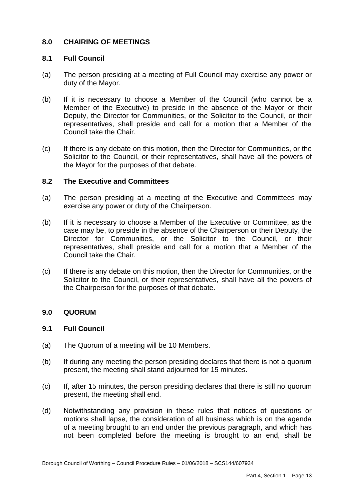#### **8.0 CHAIRING OF MEETINGS**

## **8.1 Full Council**

- $(a)$ The person presiding at a meeting of Full Council may exercise any power or duty of the Mayor.
- $(b)$  Member of the Executive) to preside in the absence of the Mayor or their Deputy, the Director for Communities, or the Solicitor to the Council, or their representatives, shall preside and call for a motion that a Member of the If it is necessary to choose a Member of the Council (who cannot be a Council take the Chair.
- $(c)$  Solicitor to the Council, or their representatives, shall have all the powers of the Mayor for the purposes of that debate. If there is any debate on this motion, then the Director for Communities, or the

### **8.2 The Executive and Committees**

- $(a)$ The person presiding at a meeting of the Executive and Committees may exercise any power or duty of the Chairperson.
- $(b)$  case may be, to preside in the absence of the Chairperson or their Deputy, the Director for Communities, or the Solicitor to the Council, or their representatives, shall preside and call for a motion that a Member of the Council take the Chair. If it is necessary to choose a Member of the Executive or Committee, as the
- $(c)$  Solicitor to the Council, or their representatives, shall have all the powers of If there is any debate on this motion, then the Director for Communities, or the the Chairperson for the purposes of that debate.

#### **9.0 QUORUM**

#### **9.1 Full Council**

- $(a)$ The Quorum of a meeting will be 10 Members.
- $(b)$  present, the meeting shall stand adjourned for 15 minutes. If during any meeting the person presiding declares that there is not a quorum
- (c) If, after 15 minutes, the person presiding declares that there is still no quorum present, the meeting shall end.
- (d) Notwithstanding any provision in these rules that notices of questions or motions shall lapse, the consideration of all business which is on the agenda of a meeting brought to an end under the previous paragraph, and which has not been completed before the meeting is brought to an end, shall be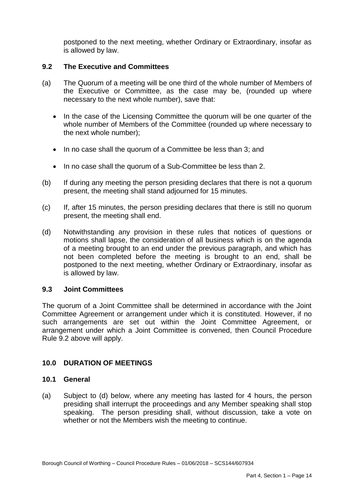postponed to the next meeting, whether Ordinary or Extraordinary, insofar as is allowed by law.

#### **9.2 The Executive and Committees**

- $(a)$  the Executive or Committee, as the case may be, (rounded up where The Quorum of a meeting will be one third of the whole number of Members of necessary to the next whole number), save that:
	- In the case of the Licensing Committee the quorum will be one quarter of the whole number of Members of the Committee (rounded up where necessary to the next whole number);
	- In no case shall the quorum of a Committee be less than 3; and
	- In no case shall the quorum of a Sub-Committee be less than 2.
- $(b)$  present, the meeting shall stand adjourned for 15 minutes. If during any meeting the person presiding declares that there is not a quorum
- (c) If, after 15 minutes, the person presiding declares that there is still no quorum present, the meeting shall end.
- (d) Notwithstanding any provision in these rules that notices of questions or motions shall lapse, the consideration of all business which is on the agenda of a meeting brought to an end under the previous paragraph, and which has not been completed before the meeting is brought to an end, shall be postponed to the next meeting, whether Ordinary or Extraordinary, insofar as is allowed by law.

#### **9.3 Joint Committees**

 The quorum of a Joint Committee shall be determined in accordance with the Joint Committee Agreement or arrangement under which it is constituted. However, if no such arrangements are set out within the Joint Committee Agreement, or arrangement under which a Joint Committee is convened, then Council Procedure Rule 9.2 above will apply.

#### **10.0 DURATION OF MEETINGS**

#### **10.1 General**

 $(a)$  presiding shall interrupt the proceedings and any Member speaking shall stop speaking. The person presiding shall, without discussion, take a vote on Subject to (d) below, where any meeting has lasted for 4 hours, the person whether or not the Members wish the meeting to continue.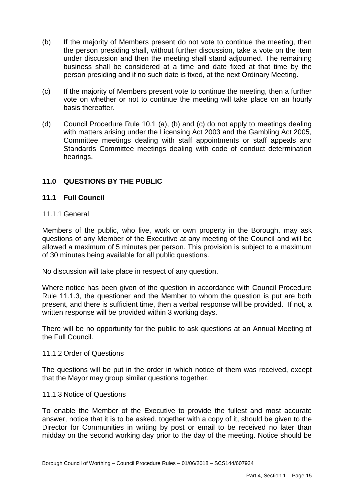- $(b)$  the person presiding shall, without further discussion, take a vote on the item under discussion and then the meeting shall stand adjourned. The remaining business shall be considered at a time and date fixed at that time by the If the majority of Members present do not vote to continue the meeting, then person presiding and if no such date is fixed, at the next Ordinary Meeting.
- $(c)$  vote on whether or not to continue the meeting will take place on an hourly If the majority of Members present vote to continue the meeting, then a further basis thereafter.
- $(d)$  with matters arising under the Licensing Act 2003 and the Gambling Act 2005, Committee meetings dealing with staff appointments or staff appeals and Standards Committee meetings dealing with code of conduct determination Council Procedure Rule 10.1 (a), (b) and (c) do not apply to meetings dealing hearings.

# **11.0 QUESTIONS BY THE PUBLIC**

## **11.1 Full Council**

#### 11.1.1 General

 Members of the public, who live, work or own property in the Borough, may ask questions of any Member of the Executive at any meeting of the Council and will be allowed a maximum of 5 minutes per person. This provision is subject to a maximum of 30 minutes being available for all public questions.

No discussion will take place in respect of any question.

 Where notice has been given of the question in accordance with Council Procedure Rule 11.1.3, the questioner and the Member to whom the question is put are both present, and there is sufficient time, then a verbal response will be provided. If not, a written response will be provided within 3 working days.

 There will be no opportunity for the public to ask questions at an Annual Meeting of the Full Council.

#### 11.1.2 Order of Questions

 The questions will be put in the order in which notice of them was received, except that the Mayor may group similar questions together.

#### 11.1.3 Notice of Questions

 To enable the Member of the Executive to provide the fullest and most accurate answer, notice that it is to be asked, together with a copy of it, should be given to the Director for Communities in writing by post or email to be received no later than midday on the second working day prior to the day of the meeting. Notice should be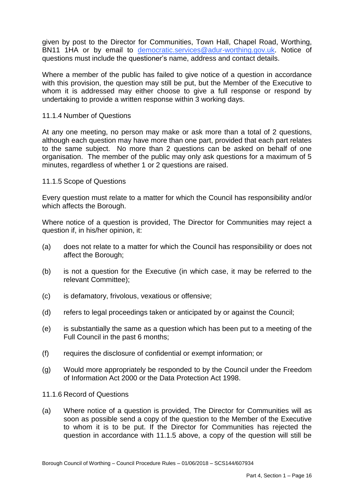given by post to the Director for Communities, Town Hall, Chapel Road, Worthing, BN11 1HA or by email to [democratic.services@adur-worthing.gov.uk.](mailto:democratic.services@adur-worthing.gov.uk) Notice of questions must include the questioner's name, address and contact details.

 Where a member of the public has failed to give notice of a question in accordance with this provision, the question may still be put, but the Member of the Executive to whom it is addressed may either choose to give a full response or respond by undertaking to provide a written response within 3 working days.

#### 11.1.4 Number of Questions

 At any one meeting, no person may make or ask more than a total of 2 questions, to the same subject. No more than 2 questions can be asked on behalf of one organisation. The member of the public may only ask questions for a maximum of 5 minutes, regardless of whether 1 or 2 questions are raised. although each question may have more than one part, provided that each part relates

#### 11.1.5 Scope of Questions

 Every question must relate to a matter for which the Council has responsibility and/or which affects the Borough.

 Where notice of a question is provided, The Director for Communities may reject a question if, in his/her opinion, it:

- (a) does not relate to a matter for which the Council has responsibility or does not affect the Borough;
- $(b)$ is not a question for the Executive (in which case, it may be referred to the relevant Committee);
- (c) is defamatory, frivolous, vexatious or offensive;
- (d) refers to legal proceedings taken or anticipated by or against the Council;
- (e) is substantially the same as a question which has been put to a meeting of the Full Council in the past 6 months;
- (f) requires the disclosure of confidential or exempt information; or
- $(a)$ (g) Would more appropriately be responded to by the Council under the Freedom of Information Act 2000 or the Data Protection Act 1998.
- 11.1.6 Record of Questions
- $(a)$  soon as possible send a copy of the question to the Member of the Executive to whom it is to be put. If the Director for Communities has rejected the question in accordance with 11.1.5 above, a copy of the question will still be Where notice of a question is provided, The Director for Communities will as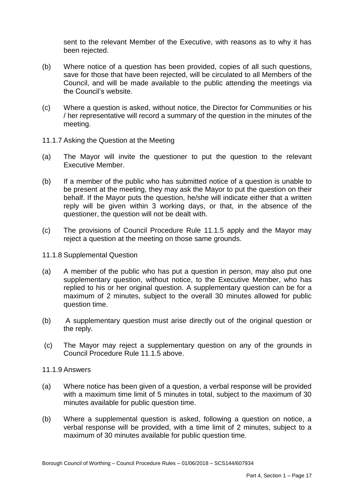sent to the relevant Member of the Executive, with reasons as to why it has been rejected.

- $(b)$  save for those that have been rejected, will be circulated to all Members of the Council, and will be made available to the public attending the meetings via the Council's website. Where notice of a question has been provided, copies of all such questions,
- $(c)$ Where a question is asked, without notice, the Director for Communities or his / her representative will record a summary of the question in the minutes of the meeting.
- 11.1.7 Asking the Question at the Meeting
- $(a)$  Executive Member. The Mayor will invite the questioner to put the question to the relevant
- $(b)$  be present at the meeting, they may ask the Mayor to put the question on their behalf. If the Mayor puts the question, he/she will indicate either that a written reply will be given within 3 working days, or that, in the absence of the If a member of the public who has submitted notice of a question is unable to questioner, the question will not be dealt with.
- $(c)$ The provisions of Council Procedure Rule 11.1.5 apply and the Mayor may reject a question at the meeting on those same grounds.
- 11.1.8 Supplemental Question
- $(a)$  supplementary question, without notice, to the Executive Member, who has replied to his or her original question. A supplementary question can be for a maximum of 2 minutes, subject to the overall 30 minutes allowed for public A member of the public who has put a question in person, may also put one question time.
- $(b)$ (b) A supplementary question must arise directly out of the original question or the reply.
- $(c)$ The Mayor may reject a supplementary question on any of the grounds in Council Procedure Rule 11.1.5 above.
- 11.1.9 Answers
- (a) Where notice has been given of a question, a verbal response will be provided with a maximum time limit of 5 minutes in total, subject to the maximum of 30 minutes available for public question time.
- $(b)$  verbal response will be provided, with a time limit of 2 minutes, subject to a Where a supplemental question is asked, following a question on notice, a maximum of 30 minutes available for public question time.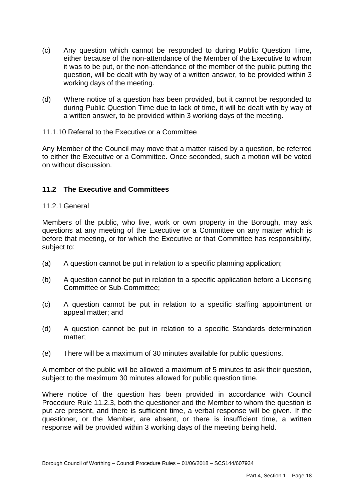- $(c)$  either because of the non-attendance of the Member of the Executive to whom it was to be put, or the non-attendance of the member of the public putting the question, will be dealt with by way of a written answer, to be provided within 3 Any question which cannot be responded to during Public Question Time, working days of the meeting.
- $(d)$  during Public Question Time due to lack of time, it will be dealt with by way of Where notice of a question has been provided, but it cannot be responded to a written answer, to be provided within 3 working days of the meeting.

## 11.1.10 Referral to the Executive or a Committee

 Any Member of the Council may move that a matter raised by a question, be referred to either the Executive or a Committee. Once seconded, such a motion will be voted on without discussion.

## **11.2 The Executive and Committees**

#### 11.2.1 General

 Members of the public, who live, work or own property in the Borough, may ask questions at any meeting of the Executive or a Committee on any matter which is before that meeting, or for which the Executive or that Committee has responsibility, subject to:

- (a) A question cannot be put in relation to a specific planning application;
- (b) A question cannot be put in relation to a specific application before a Licensing Committee or Sub-Committee;
- $(c)$ A question cannot be put in relation to a specific staffing appointment or appeal matter; and
- $(d)$ A question cannot be put in relation to a specific Standards determination matter;
- (e) There will be a maximum of 30 minutes available for public questions.

 subject to the maximum 30 minutes allowed for public question time. A member of the public will be allowed a maximum of 5 minutes to ask their question,

 Where notice of the question has been provided in accordance with Council Procedure Rule 11.2.3, both the questioner and the Member to whom the question is put are present, and there is sufficient time, a verbal response will be given. If the questioner, or the Member, are absent, or there is insufficient time, a written response will be provided within 3 working days of the meeting being held.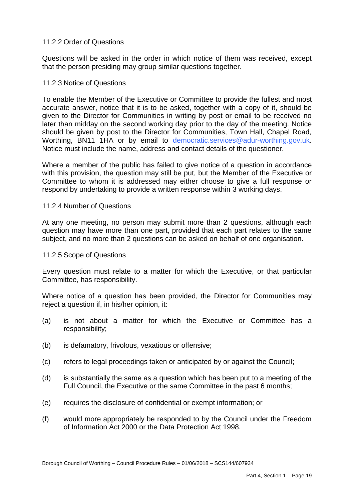## 11.2.2 Order of Questions

 Questions will be asked in the order in which notice of them was received, except that the person presiding may group similar questions together.

#### 11.2.3 Notice of Questions

 To enable the Member of the Executive or Committee to provide the fullest and most accurate answer, notice that it is to be asked, together with a copy of it, should be given to the Director for Communities in writing by post or email to be received no later than midday on the second working day prior to the day of the meeting. Notice should be given by post to the Director for Communities, Town Hall, Chapel Road, Worthing, BN11 1HA or by email to [democratic.services@adur-worthing.gov.uk.](mailto:democratic.services@adur-worthing.gov.uk) Notice must include the name, address and contact details of the questioner.

 Where a member of the public has failed to give notice of a question in accordance with this provision, the question may still be put, but the Member of the Executive or Committee to whom it is addressed may either choose to give a full response or respond by undertaking to provide a written response within 3 working days.

#### 11.2.4 Number of Questions

 At any one meeting, no person may submit more than 2 questions, although each question may have more than one part, provided that each part relates to the same subject, and no more than 2 questions can be asked on behalf of one organisation.

#### 11.2.5 Scope of Questions

 Every question must relate to a matter for which the Executive, or that particular Committee, has responsibility.

 Where notice of a question has been provided, the Director for Communities may reject a question if, in his/her opinion, it:

- (a) is not about a matter for which the Executive or Committee has a responsibility;
- (b) is defamatory, frivolous, vexatious or offensive;
- (c) refers to legal proceedings taken or anticipated by or against the Council;
- (d) is substantially the same as a question which has been put to a meeting of the Full Council, the Executive or the same Committee in the past 6 months;
- (e) requires the disclosure of confidential or exempt information; or
- (f) would more appropriately be responded to by the Council under the Freedom of Information Act 2000 or the Data Protection Act 1998.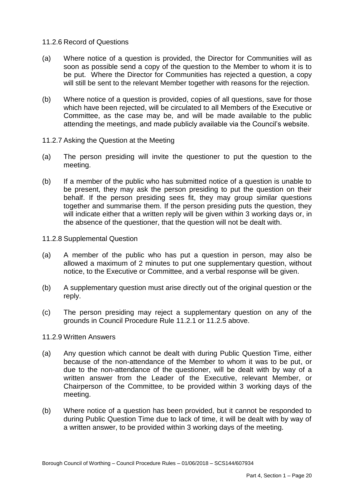#### 11.2.6 Record of Questions

- (a) Where notice of a question is provided, the Director for Communities will as soon as possible send a copy of the question to the Member to whom it is to be put. Where the Director for Communities has rejected a question, a copy will still be sent to the relevant Member together with reasons for the rejection.
- (b) Where notice of a question is provided, copies of all questions, save for those which have been rejected, will be circulated to all Members of the Executive or Committee, as the case may be, and will be made available to the public attending the meetings, and made publicly available via the Council's website.
- 11.2.7 Asking the Question at the Meeting
- $(a)$ The person presiding will invite the questioner to put the question to the meeting.
- $(b)$  be present, they may ask the person presiding to put the question on their behalf. If the person presiding sees fit, they may group similar questions together and summarise them. If the person presiding puts the question, they will indicate either that a written reply will be given within 3 working days or, in the absence of the questioner, that the question will not be dealt with. If a member of the public who has submitted notice of a question is unable to
- 11.2.8 Supplemental Question
- $(a)$  allowed a maximum of 2 minutes to put one supplementary question, without notice, to the Executive or Committee, and a verbal response will be given. A member of the public who has put a question in person, may also be
- (b) A supplementary question must arise directly out of the original question or the reply.
- $(c)$  grounds in Council Procedure Rule 11.2.1 or 11.2.5 above. The person presiding may reject a supplementary question on any of the

#### 11.2.9 Written Answers

- $(a)$  because of the non-attendance of the Member to whom it was to be put, or due to the non-attendance of the questioner, will be dealt with by way of a written answer from the Leader of the Executive, relevant Member, or Chairperson of the Committee, to be provided within 3 working days of the Any question which cannot be dealt with during Public Question Time, either meeting.
- $(b)$  during Public Question Time due to lack of time, it will be dealt with by way of Where notice of a question has been provided, but it cannot be responded to a written answer, to be provided within 3 working days of the meeting.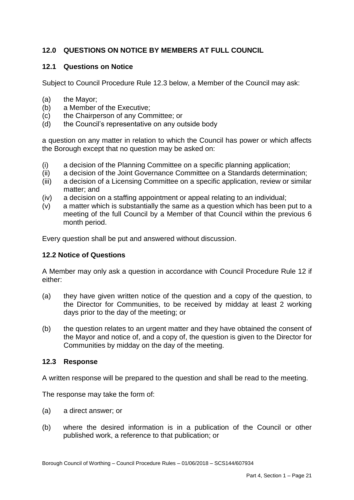# **12.0 QUESTIONS ON NOTICE BY MEMBERS AT FULL COUNCIL**

## **12.1 Questions on Notice**

Subject to Council Procedure Rule 12.3 below, a Member of the Council may ask:

- (a) the Mayor;
- (b) a Member of the Executive;
- $(c)$ the Chairperson of any Committee; or
- (d) the Council's representative on any outside body

 a question on any matter in relation to which the Council has power or which affects the Borough except that no question may be asked on:

- (i) a decision of the Planning Committee on a specific planning application;
- (ii) a decision of the Joint Governance Committee on a Standards determination;
- (iii) a decision of a Licensing Committee on a specific application, review or similar matter; and
- (iv) a decision on a staffing appointment or appeal relating to an individual;
- meeting of the full Council by a Member of that Council within the previous 6 month period. (v) a matter which is substantially the same as a question which has been put to a

Every question shall be put and answered without discussion.

# **12.2 Notice of Questions**

 A Member may only ask a question in accordance with Council Procedure Rule 12 if either:

- the Director for Communities, to be received by midday at least 2 working days prior to the day of the meeting; or (a) they have given written notice of the question and a copy of the question, to
- the Mayor and notice of, and a copy of, the question is given to the Director for Communities by midday on the day of the meeting. (b) the question relates to an urgent matter and they have obtained the consent of

## **12.3 Response**

A written response will be prepared to the question and shall be read to the meeting.

The response may take the form of:

- (a) a direct answer; or
- (b) where the desired information is in a publication of the Council or other published work, a reference to that publication; or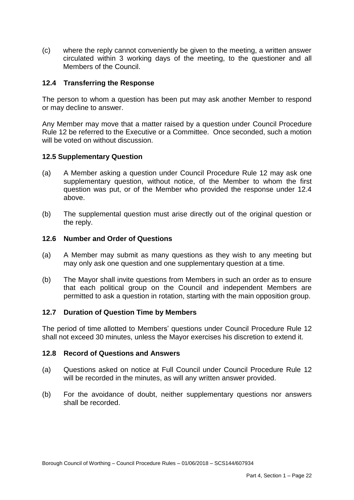(c) where the reply cannot conveniently be given to the meeting, a written answer circulated within 3 working days of the meeting, to the questioner and all Members of the Council.

## **12.4 Transferring the Response**

 The person to whom a question has been put may ask another Member to respond or may decline to answer.

 Any Member may move that a matter raised by a question under Council Procedure Rule 12 be referred to the Executive or a Committee. Once seconded, such a motion will be voted on without discussion.

## **12.5 Supplementary Question**

- $(a)$  supplementary question, without notice, of the Member to whom the first question was put, or of the Member who provided the response under 12.4 A Member asking a question under Council Procedure Rule 12 may ask one above.
- $(b)$ The supplemental question must arise directly out of the original question or the reply.

## **12.6 Number and Order of Questions**

- (a) A Member may submit as many questions as they wish to any meeting but may only ask one question and one supplementary question at a time.
- $(b)$  that each political group on the Council and independent Members are permitted to ask a question in rotation, starting with the main opposition group. The Mayor shall invite questions from Members in such an order as to ensure

## **12.7 Duration of Question Time by Members**

 The period of time allotted to Members' questions under Council Procedure Rule 12 shall not exceed 30 minutes, unless the Mayor exercises his discretion to extend it.

#### **12.8 Record of Questions and Answers**

- (a) Questions asked on notice at Full Council under Council Procedure Rule 12 will be recorded in the minutes, as will any written answer provided.
- $(b)$ For the avoidance of doubt, neither supplementary questions nor answers shall be recorded.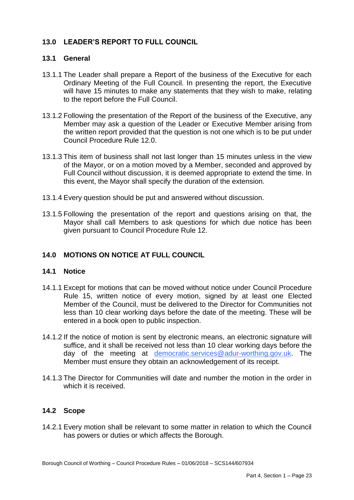# **13.0 LEADER'S REPORT TO FULL COUNCIL**

## **13.1 General**

- 13.1.1 The Leader shall prepare a Report of the business of the Executive for each Ordinary Meeting of the Full Council. In presenting the report, the Executive will have 15 minutes to make any statements that they wish to make, relating to the report before the Full Council.
- 13.1.2 Following the presentation of the Report of the business of the Executive, any Member may ask a question of the Leader or Executive Member arising from the written report provided that the question is not one which is to be put under Council Procedure Rule 12.0.
- 13.1.3 This item of business shall not last longer than 15 minutes unless in the view of the Mayor, or on a motion moved by a Member, seconded and approved by Full Council without discussion, it is deemed appropriate to extend the time. In this event, the Mayor shall specify the duration of the extension.
- 13.1.4 Every question should be put and answered without discussion.
- 13.1.5 Following the presentation of the report and questions arising on that, the Mayor shall call Members to ask questions for which due notice has been given pursuant to Council Procedure Rule 12.

## **14.0 MOTIONS ON NOTICE AT FULL COUNCIL**

#### **14.1 Notice**

- 14.1.1 Except for motions that can be moved without notice under Council Procedure Rule 15, written notice of every motion, signed by at least one Elected Member of the Council, must be delivered to the Director for Communities not less than 10 clear working days before the date of the meeting. These will be entered in a book open to public inspection.
- 14.1.2 If the notice of motion is sent by electronic means, an electronic signature will suffice, and it shall be received not less than 10 clear working days before the day of the meeting at [democratic.services@adur-worthing.gov.uk.](mailto:democratic.services@adur-worthing.gov.uk) The Member must ensure they obtain an acknowledgement of its receipt.
- Member must ensure they obtain an acknowledgement of its receipt. 14.1.3 The Director for Communities will date and number the motion in the order in which it is received.

# **14.2 Scope**

 14.2.1 Every motion shall be relevant to some matter in relation to which the Council has powers or duties or which affects the Borough.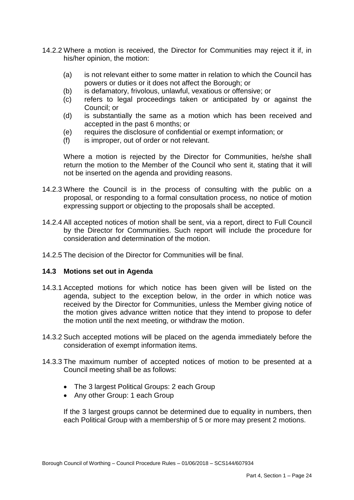- 14.2.2 Where a motion is received, the Director for Communities may reject it if, in his/her opinion, the motion:
	- (a) is not relevant either to some matter in relation to which the Council has powers or duties or it does not affect the Borough; or
	- (b) is defamatory, frivolous, unlawful, vexatious or offensive; or
	- (c) refers to legal proceedings taken or anticipated by or against the Council; or
	- (d) is substantially the same as a motion which has been received and accepted in the past 6 months; or
	- (e) requires the disclosure of confidential or exempt information; or
	- (f) is improper, out of order or not relevant.

 Where a motion is rejected by the Director for Communities, he/she shall return the motion to the Member of the Council who sent it, stating that it will not be inserted on the agenda and providing reasons.

- 14.2.3 Where the Council is in the process of consulting with the public on a proposal, or responding to a formal consultation process, no notice of motion expressing support or objecting to the proposals shall be accepted.
- 14.2.4 All accepted notices of motion shall be sent, via a report, direct to Full Council by the Director for Communities. Such report will include the procedure for consideration and determination of the motion.
- 14.2.5 The decision of the Director for Communities will be final.

## **14.3 Motions set out in Agenda**

- 14.3.1 Accepted motions for which notice has been given will be listed on the agenda, subject to the exception below, in the order in which notice was received by the Director for Communities, unless the Member giving notice of the motion gives advance written notice that they intend to propose to defer the motion until the next meeting, or withdraw the motion.
- 14.3.2 Such accepted motions will be placed on the agenda immediately before the consideration of exempt information items.
- 14.3.3 The maximum number of accepted notices of motion to be presented at a Council meeting shall be as follows:
	- The 3 largest Political Groups: 2 each Group
	- Any other Group: 1 each Group

 If the 3 largest groups cannot be determined due to equality in numbers, then each Political Group with a membership of 5 or more may present 2 motions.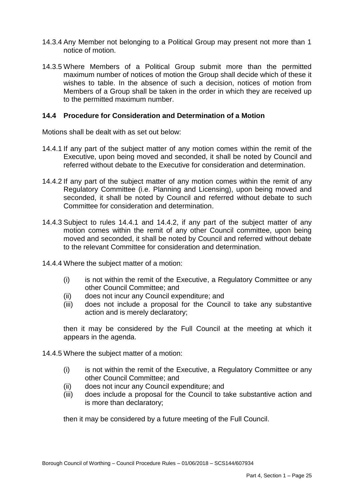- 14.3.4 Any Member not belonging to a Political Group may present not more than 1 notice of motion.
- 14.3.5 Where Members of a Political Group submit more than the permitted maximum number of notices of motion the Group shall decide which of these it wishes to table. In the absence of such a decision, notices of motion from Members of a Group shall be taken in the order in which they are received up to the permitted maximum number.

## **14.4 Procedure for Consideration and Determination of a Motion**

Motions shall be dealt with as set out below:

- 14.4.1 If any part of the subject matter of any motion comes within the remit of the Executive, upon being moved and seconded, it shall be noted by Council and referred without debate to the Executive for consideration and determination.
- 14.4.2 If any part of the subject matter of any motion comes within the remit of any Regulatory Committee (i.e. Planning and Licensing), upon being moved and seconded, it shall be noted by Council and referred without debate to such Committee for consideration and determination.
- 14.4.3 Subject to rules 14.4.1 and 14.4.2, if any part of the subject matter of any motion comes within the remit of any other Council committee, upon being moved and seconded, it shall be noted by Council and referred without debate to the relevant Committee for consideration and determination.
- 14.4.4 Where the subject matter of a motion:
	- (i) is not within the remit of the Executive, a Regulatory Committee or any other Council Committee; and
	- (ii) does not incur any Council expenditure; and
	- (iii) does not include a proposal for the Council to take any substantive action and is merely declaratory;

 then it may be considered by the Full Council at the meeting at which it appears in the agenda.

- 14.4.5 Where the subject matter of a motion:
	- (i) is not within the remit of the Executive, a Regulatory Committee or any other Council Committee; and
	- (ii) does not incur any Council expenditure; and
	- (iii) does include a proposal for the Council to take substantive action and is more than declaratory;

then it may be considered by a future meeting of the Full Council.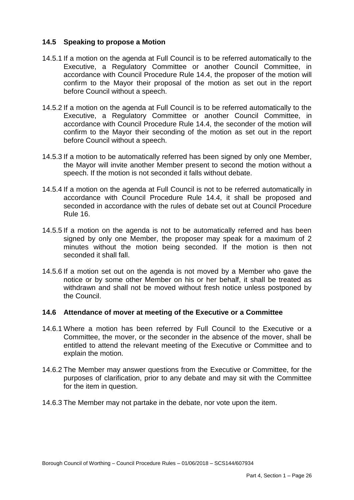## **14.5 Speaking to propose a Motion**

- 14.5.1 If a motion on the agenda at Full Council is to be referred automatically to the accordance with Council Procedure Rule 14.4, the proposer of the motion will confirm to the Mayor their proposal of the motion as set out in the report Executive, a Regulatory Committee or another Council Committee, in before Council without a speech.
- 14.5.2 If a motion on the agenda at Full Council is to be referred automatically to the accordance with Council Procedure Rule 14.4, the seconder of the motion will confirm to the Mayor their seconding of the motion as set out in the report Executive, a Regulatory Committee or another Council Committee, in before Council without a speech.
- 14.5.3 If a motion to be automatically referred has been signed by only one Member, the Mayor will invite another Member present to second the motion without a speech. If the motion is not seconded it falls without debate.
- 14.5.4 If a motion on the agenda at Full Council is not to be referred automatically in accordance with Council Procedure Rule 14.4, it shall be proposed and seconded in accordance with the rules of debate set out at Council Procedure Rule 16.
- 14.5.5 If a motion on the agenda is not to be automatically referred and has been signed by only one Member, the proposer may speak for a maximum of 2 minutes without the motion being seconded. If the motion is then not seconded it shall fall.
- 14.5.6 If a motion set out on the agenda is not moved by a Member who gave the notice or by some other Member on his or her behalf, it shall be treated as withdrawn and shall not be moved without fresh notice unless postponed by the Council.

## **14.6 Attendance of mover at meeting of the Executive or a Committee**

- 14.6.1 Where a motion has been referred by Full Council to the Executive or a Committee, the mover, or the seconder in the absence of the mover, shall be entitled to attend the relevant meeting of the Executive or Committee and to explain the motion.
- 14.6.2 The Member may answer questions from the Executive or Committee, for the purposes of clarification, prior to any debate and may sit with the Committee for the item in question.
- 14.6.3 The Member may not partake in the debate, nor vote upon the item.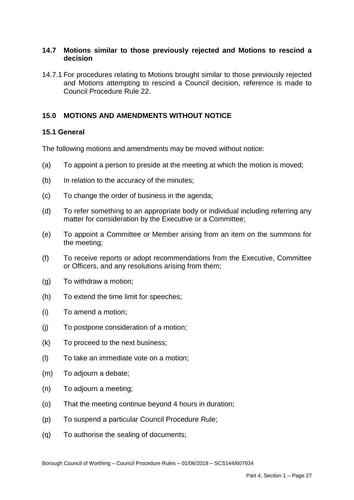## **14.7 Motions similar to those previously rejected and Motions to rescind a decision**

 14.7.1 For procedures relating to Motions brought similar to those previously rejected and Motions attempting to rescind a Council decision, reference is made to Council Procedure Rule 22.

# **15.0 MOTIONS AND AMENDMENTS WITHOUT NOTICE**

## **15.1 General**

The following motions and amendments may be moved without notice:

- (a) To appoint a person to preside at the meeting at which the motion is moved;
- (b) In relation to the accuracy of the minutes;
- (c) To change the order of business in the agenda;
- $(d)$ To refer something to an appropriate body or individual including referring any matter for consideration by the Executive or a Committee;
- $(e)$  the meeting; To appoint a Committee or Member arising from an item on the summons for
- $(f)$  or Officers, and any resolutions arising from them; To receive reports or adopt recommendations from the Executive, Committee
- (g) To withdraw a motion;
- (h) To extend the time limit for speeches;
- (i) To amend a motion;
- (j) To postpone consideration of a motion;
- (k) To proceed to the next business;
- (l) To take an immediate vote on a motion;
- (m) To adjourn a debate;
- (n) To adjourn a meeting;
- (o) That the meeting continue beyond 4 hours in duration;
- (p) To suspend a particular Council Procedure Rule;
- (q) To authorise the sealing of documents;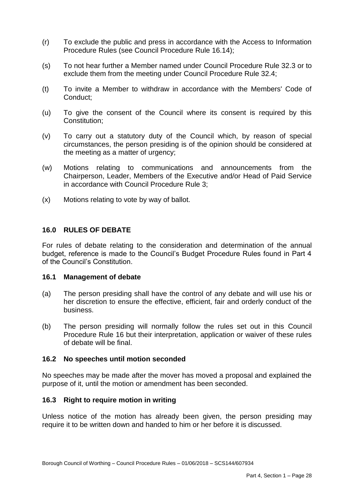- $(r)$  Procedure Rules (see Council Procedure Rule 16.14); To exclude the public and press in accordance with the Access to Information
- $(s)$  exclude them from the meeting under Council Procedure Rule 32.4; To not hear further a Member named under Council Procedure Rule 32.3 or to
- $(t)$ To invite a Member to withdraw in accordance with the Members' Code of Conduct;
- $(u)$ To give the consent of the Council where its consent is required by this Constitution;
- $(v)$  circumstances, the person presiding is of the opinion should be considered at To carry out a statutory duty of the Council which, by reason of special the meeting as a matter of urgency;
- (w) Motions relating to communications and announcements from the Chairperson, Leader, Members of the Executive and/or Head of Paid Service in accordance with Council Procedure Rule 3;
- (x) Motions relating to vote by way of ballot.

#### **16.0 RULES OF DEBATE**

 For rules of debate relating to the consideration and determination of the annual budget, reference is made to the Council's Budget Procedure Rules found in Part 4 of the Council's Constitution.

#### **16.1 Management of debate**

- her discretion to ensure the effective, efficient, fair and orderly conduct of the (a) The person presiding shall have the control of any debate and will use his or business.
- $(b)$  Procedure Rule 16 but their interpretation, application or waiver of these rules of debate will be final. The person presiding will normally follow the rules set out in this Council

#### **16.2 No speeches until motion seconded**

 No speeches may be made after the mover has moved a proposal and explained the purpose of it, until the motion or amendment has been seconded.

#### **16.3 Right to require motion in writing**

 Unless notice of the motion has already been given, the person presiding may require it to be written down and handed to him or her before it is discussed.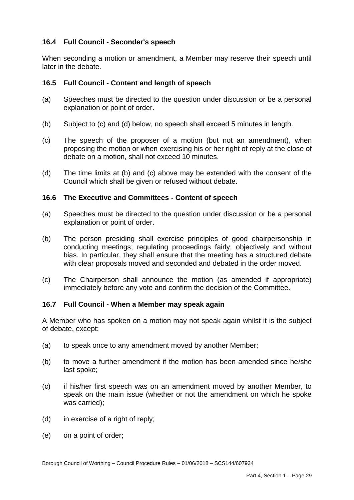## **16.4 Full Council - Seconder's speech**

 When seconding a motion or amendment, a Member may reserve their speech until later in the debate.

## **16.5 Full Council - Content and length of speech**

- (a) Speeches must be directed to the question under discussion or be a personal explanation or point of order.
- (b) Subject to (c) and (d) below, no speech shall exceed 5 minutes in length.
- $(c)$  debate on a motion, shall not exceed 10 minutes. The speech of the proposer of a motion (but not an amendment), when proposing the motion or when exercising his or her right of reply at the close of
- $(d)$ The time limits at  $(b)$  and  $(c)$  above may be extended with the consent of the Council which shall be given or refused without debate.

#### **16.6 The Executive and Committees - Content of speech**

- (a) Speeches must be directed to the question under discussion or be a personal explanation or point of order.
- $(b)$  conducting meetings; regulating proceedings fairly, objectively and without bias. In particular, they shall ensure that the meeting has a structured debate The person presiding shall exercise principles of good chairpersonship in with clear proposals moved and seconded and debated in the order moved.
- $(c)$  immediately before any vote and confirm the decision of the Committee. The Chairperson shall announce the motion (as amended if appropriate)

## **16.7 Full Council - When a Member may speak again**

 A Member who has spoken on a motion may not speak again whilst it is the subject of debate, except:

- (a) to speak once to any amendment moved by another Member;
- $(b)$ (b) to move a further amendment if the motion has been amended since he/she last spoke;
- $(c)$  speak on the main issue (whether or not the amendment on which he spoke if his/her first speech was on an amendment moved by another Member, to was carried);
- (d) in exercise of a right of reply;
- (e) on a point of order;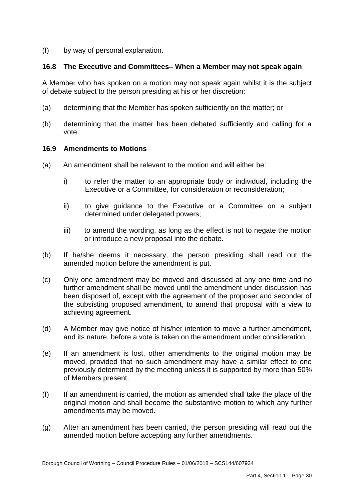$(f)$ by way of personal explanation.

## **16.8 The Executive and Committees– When a Member may not speak again**

 A Member who has spoken on a motion may not speak again whilst it is the subject of debate subject to the person presiding at his or her discretion:

- (a) determining that the Member has spoken sufficiently on the matter; or
- (b) determining that the matter has been debated sufficiently and calling for a vote.

#### **16.9 Amendments to Motions**

- $(a)$ An amendment shall be relevant to the motion and will either be:
	- i) to refer the matter to an appropriate body or individual, including the Executive or a Committee, for consideration or reconsideration;
	- $\mathsf{ii}$ to give guidance to the Executive or a Committee on a subject determined under delegated powers;
	- iii) or introduce a new proposal into the debate. to amend the wording, as long as the effect is not to negate the motion
- $(b)$  amended motion before the amendment is put. If he/she deems it necessary, the person presiding shall read out the
- $(c)$  further amendment shall be moved until the amendment under discussion has achieving agreement. (c) Only one amendment may be moved and discussed at any one time and no been disposed of, except with the agreement of the proposer and seconder of the subsisting proposed amendment, to amend that proposal with a view to
- $(d)$  and its nature, before a vote is taken on the amendment under consideration. A Member may give notice of his/her intention to move a further amendment,
- $(e)$  moved, provided that no such amendment may have a similar effect to one previously determined by the meeting unless it is supported by more than 50% If an amendment is lost, other amendments to the original motion may be of Members present.
- $(f)$  original motion and shall become the substantive motion to which any further amendments may be moved. If an amendment is carried, the motion as amended shall take the place of the
- $(a)$  amended motion before accepting any further amendments. After an amendment has been carried, the person presiding will read out the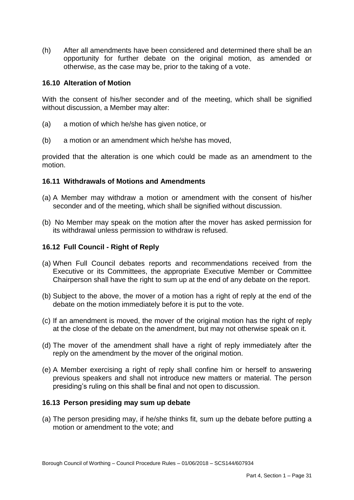$(h)$  opportunity for further debate on the original motion, as amended or otherwise, as the case may be, prior to the taking of a vote. After all amendments have been considered and determined there shall be an

## **16.10 Alteration of Motion**

 With the consent of his/her seconder and of the meeting, which shall be signified without discussion, a Member may alter:

- (a) a motion of which he/she has given notice, or
- (b) a motion or an amendment which he/she has moved,

 provided that the alteration is one which could be made as an amendment to the motion.

### **16.11 Withdrawals of Motions and Amendments**

- (a) A Member may withdraw a motion or amendment with the consent of his/her seconder and of the meeting, which shall be signified without discussion.
- (b) No Member may speak on the motion after the mover has asked permission for its withdrawal unless permission to withdraw is refused.

#### **16.12 Full Council - Right of Reply**

- (a) When Full Council debates reports and recommendations received from the Executive or its Committees, the appropriate Executive Member or Committee Chairperson shall have the right to sum up at the end of any debate on the report.
- (b) Subject to the above, the mover of a motion has a right of reply at the end of the debate on the motion immediately before it is put to the vote.
- (c) If an amendment is moved, the mover of the original motion has the right of reply at the close of the debate on the amendment, but may not otherwise speak on it.
- (d) The mover of the amendment shall have a right of reply immediately after the reply on the amendment by the mover of the original motion.
- (e) A Member exercising a right of reply shall confine him or herself to answering previous speakers and shall not introduce new matters or material. The person presiding's ruling on this shall be final and not open to discussion.

#### **16.13 Person presiding may sum up debate**

motion or amendment to the vote; and<br>Borough Council of Worthing – Council Procedure Rules – 01/06/2018 – SCS144/607934 (a) The person presiding may, if he/she thinks fit, sum up the debate before putting a motion or amendment to the vote; and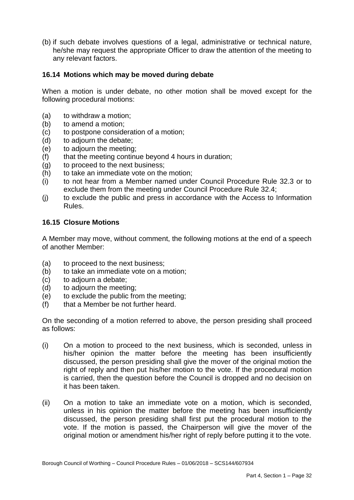(b) if such debate involves questions of a legal, administrative or technical nature, he/she may request the appropriate Officer to draw the attention of the meeting to any relevant factors.

## **16.14 Motions which may be moved during debate**

 When a motion is under debate, no other motion shall be moved except for the following procedural motions:

- (a) to withdraw a motion;
- (b) to amend a motion;
- (c) to postpone consideration of a motion;
- (d) to adjourn the debate;
- (e) to adjourn the meeting;
- (f) that the meeting continue beyond 4 hours in duration;
- (g) to proceed to the next business;
- (h) to take an immediate vote on the motion;
- $(i)$  exclude them from the meeting under Council Procedure Rule 32.4; to not hear from a Member named under Council Procedure Rule 32.3 or to
- $(i)$ to exclude the public and press in accordance with the Access to Information Rules.

#### **16.15 Closure Motions**

 A Member may move, without comment, the following motions at the end of a speech of another Member:

- (a) to proceed to the next business;
- (b) to take an immediate vote on a motion;
- (c) to adjourn a debate;
- (d) to adjourn the meeting;
- (e) to exclude the public from the meeting;
- (f) that a Member be not further heard.

 On the seconding of a motion referred to above, the person presiding shall proceed as follows:

- $(i)$  his/her opinion the matter before the meeting has been insufficiently discussed, the person presiding shall give the mover of the original motion the right of reply and then put his/her motion to the vote. If the procedural motion is carried, then the question before the Council is dropped and no decision on On a motion to proceed to the next business, which is seconded, unless in it has been taken.
- $(ii)$  unless in his opinion the matter before the meeting has been insufficiently discussed, the person presiding shall first put the procedural motion to the vote. If the motion is passed, the Chairperson will give the mover of the original motion or amendment his/her right of reply before putting it to the vote. On a motion to take an immediate vote on a motion, which is seconded,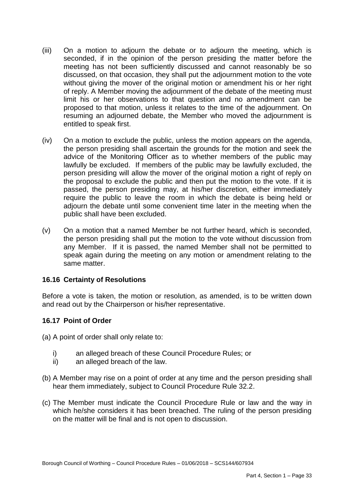- $(iii)$  seconded, if in the opinion of the person presiding the matter before the meeting has not been sufficiently discussed and cannot reasonably be so discussed, on that occasion, they shall put the adjournment motion to the vote without giving the mover of the original motion or amendment his or her right of reply. A Member moving the adjournment of the debate of the meeting must limit his or her observations to that question and no amendment can be proposed to that motion, unless it relates to the time of the adjournment. On resuming an adjourned debate, the Member who moved the adjournment is entitled to speak first. On a motion to adjourn the debate or to adjourn the meeting, which is
- $(iv)$  the person presiding shall ascertain the grounds for the motion and seek the advice of the Monitoring Officer as to whether members of the public may lawfully be excluded. If members of the public may be lawfully excluded, the person presiding will allow the mover of the original motion a right of reply on the proposal to exclude the public and then put the motion to the vote. If it is passed, the person presiding may, at his/her discretion, either immediately require the public to leave the room in which the debate is being held or adjourn the debate until some convenient time later in the meeting when the public shall have been excluded. On a motion to exclude the public, unless the motion appears on the agenda,
- $(v)$  the person presiding shall put the motion to the vote without discussion from any Member. If it is passed, the named Member shall not be permitted to speak again during the meeting on any motion or amendment relating to the On a motion that a named Member be not further heard, which is seconded, same matter.

## **16.16 Certainty of Resolutions**

 Before a vote is taken, the motion or resolution, as amended, is to be written down and read out by the Chairperson or his/her representative.

## **16.17 Point of Order**

(a) A point of order shall only relate to:

- i) an alleged breach of these Council Procedure Rules; or
- ii) an alleged breach of the law.
- (b) A Member may rise on a point of order at any time and the person presiding shall hear them immediately, subject to Council Procedure Rule 32.2.
- (c) The Member must indicate the Council Procedure Rule or law and the way in which he/she considers it has been breached. The ruling of the person presiding on the matter will be final and is not open to discussion.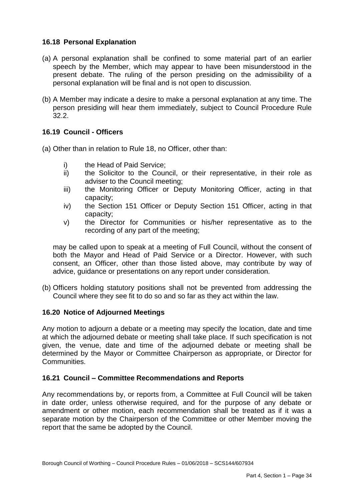## **16.18 Personal Explanation**

- (a) A personal explanation shall be confined to some material part of an earlier speech by the Member, which may appear to have been misunderstood in the present debate. The ruling of the person presiding on the admissibility of a personal explanation will be final and is not open to discussion.
- (b) A Member may indicate a desire to make a personal explanation at any time. The person presiding will hear them immediately, subject to Council Procedure Rule 32.2.

## **16.19 Council - Officers**

- (a) Other than in relation to Rule 18, no Officer, other than:
	- i) the Head of Paid Service;
	- adviser to the Council meeting; ii) the Solicitor to the Council, or their representative, in their role as
	- iii) the Monitoring Officer or Deputy Monitoring Officer, acting in that capacity;
	- iv) the Section 151 Officer or Deputy Section 151 Officer, acting in that capacity;
	- v) the Director for Communities or his/her representative as to the recording of any part of the meeting;

 may be called upon to speak at a meeting of Full Council, without the consent of both the Mayor and Head of Paid Service or a Director. However, with such consent, an Officer, other than those listed above, may contribute by way of advice, guidance or presentations on any report under consideration.

 (b) Officers holding statutory positions shall not be prevented from addressing the Council where they see fit to do so and so far as they act within the law.

## **16.20 Notice of Adjourned Meetings**

 Any motion to adjourn a debate or a meeting may specify the location, date and time at which the adjourned debate or meeting shall take place. If such specification is not given, the venue, date and time of the adjourned debate or meeting shall be determined by the Mayor or Committee Chairperson as appropriate, or Director for Communities.

#### **16.21 Council – Committee Recommendations and Reports**

 Any recommendations by, or reports from, a Committee at Full Council will be taken in date order, unless otherwise required, and for the purpose of any debate or amendment or other motion, each recommendation shall be treated as if it was a separate motion by the Chairperson of the Committee or other Member moving the report that the same be adopted by the Council.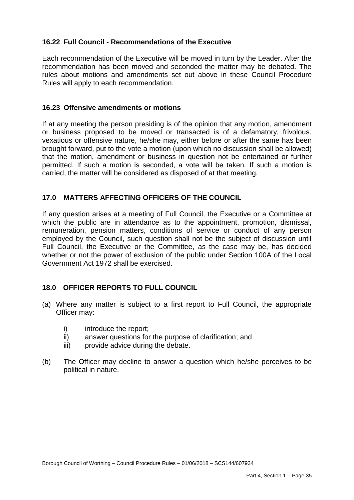# **16.22 Full Council - Recommendations of the Executive**

 Each recommendation of the Executive will be moved in turn by the Leader. After the recommendation has been moved and seconded the matter may be debated. The rules about motions and amendments set out above in these Council Procedure Rules will apply to each recommendation.

#### **16.23 Offensive amendments or motions**

 If at any meeting the person presiding is of the opinion that any motion, amendment or business proposed to be moved or transacted is of a defamatory, frivolous, vexatious or offensive nature, he/she may, either before or after the same has been that the motion, amendment or business in question not be entertained or further permitted. If such a motion is seconded, a vote will be taken. If such a motion is carried, the matter will be considered as disposed of at that meeting. brought forward, put to the vote a motion (upon which no discussion shall be allowed)

## **17.0 MATTERS AFFECTING OFFICERS OF THE COUNCIL**

 If any question arises at a meeting of Full Council, the Executive or a Committee at which the public are in attendance as to the appointment, promotion, dismissal, remuneration, pension matters, conditions of service or conduct of any person employed by the Council, such question shall not be the subject of discussion until Full Council, the Executive or the Committee, as the case may be, has decided whether or not the power of exclusion of the public under Section 100A of the Local Government Act 1972 shall be exercised.

# **18.0 OFFICER REPORTS TO FULL COUNCIL**

- (a) Where any matter is subject to a first report to Full Council, the appropriate Officer may:
	- i) introduce the report;
	- ii) answer questions for the purpose of clarification; and
	- iii) provide advice during the debate.
- $(b)$ The Officer may decline to answer a question which he/she perceives to be political in nature.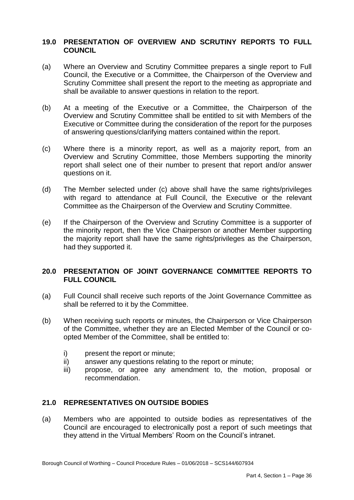## **19.0 PRESENTATION OF OVERVIEW AND SCRUTINY REPORTS TO FULL COUNCIL**

- $(a)$  Council, the Executive or a Committee, the Chairperson of the Overview and Scrutiny Committee shall present the report to the meeting as appropriate and Where an Overview and Scrutiny Committee prepares a single report to Full shall be available to answer questions in relation to the report.
- $(b)$  Overview and Scrutiny Committee shall be entitled to sit with Members of the At a meeting of the Executive or a Committee, the Chairperson of the Executive or Committee during the consideration of the report for the purposes of answering questions/clarifying matters contained within the report.
- $(c)$  Overview and Scrutiny Committee, those Members supporting the minority report shall select one of their number to present that report and/or answer questions on it. Where there is a minority report, as well as a majority report, from an
- $(d)$  with regard to attendance at Full Council, the Executive or the relevant The Member selected under (c) above shall have the same rights/privileges Committee as the Chairperson of the Overview and Scrutiny Committee.
- $(e)$  the minority report, then the Vice Chairperson or another Member supporting the majority report shall have the same rights/privileges as the Chairperson, If the Chairperson of the Overview and Scrutiny Committee is a supporter of had they supported it.

## **20.0 PRESENTATION OF JOINT GOVERNANCE COMMITTEE REPORTS TO FULL COUNCIL**

- (a) Full Council shall receive such reports of the Joint Governance Committee as shall be referred to it by the Committee.
- $(b)$  of the Committee, whether they are an Elected Member of the Council or co-When receiving such reports or minutes, the Chairperson or Vice Chairperson opted Member of the Committee, shall be entitled to:
	- i) present the report or minute;
	- ii) answer any questions relating to the report or minute;
	- propose, or agree any amendment to, the motion, proposal or iii) recommendation.

## **21.0 REPRESENTATIVES ON OUTSIDE BODIES**

 (a) Members who are appointed to outside bodies as representatives of the Council are encouraged to electronically post a report of such meetings that they attend in the Virtual Members' Room on the Council's intranet.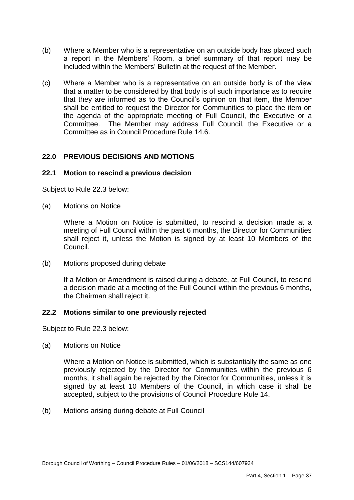- $(b)$  a report in the Members' Room, a brief summary of that report may be Where a Member who is a representative on an outside body has placed such included within the Members' Bulletin at the request of the Member.
- (c) Where a Member who is a representative on an outside body is of the view that a matter to be considered by that body is of such importance as to require that they are informed as to the Council's opinion on that item, the Member shall be entitled to request the Director for Communities to place the item on the agenda of the appropriate meeting of Full Council, the Executive or a Committee. The Member may address Full Council, the Executive or a Committee as in Council Procedure Rule 14.6.

## **22.0 PREVIOUS DECISIONS AND MOTIONS**

#### **22.1 Motion to rescind a previous decision**

Subject to Rule 22.3 below:

(a) Motions on Notice

 Where a Motion on Notice is submitted, to rescind a decision made at a meeting of Full Council within the past 6 months, the Director for Communities shall reject it, unless the Motion is signed by at least 10 Members of the Council.

(b) Motions proposed during debate

 If a Motion or Amendment is raised during a debate, at Full Council, to rescind a decision made at a meeting of the Full Council within the previous 6 months, the Chairman shall reject it.

#### **22.2 Motions similar to one previously rejected**

Subject to Rule 22.3 below:

(a) Motions on Notice

 Where a Motion on Notice is submitted, which is substantially the same as one previously rejected by the Director for Communities within the previous 6 months, it shall again be rejected by the Director for Communities, unless it is signed by at least 10 Members of the Council, in which case it shall be accepted, subject to the provisions of Council Procedure Rule 14.

(b) Motions arising during debate at Full Council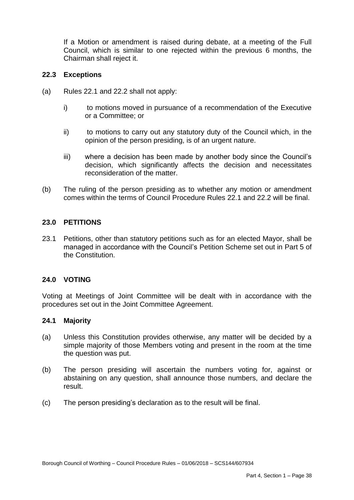Council, which is similar to one rejected within the previous 6 months, the Chairman shall reject it. If a Motion or amendment is raised during debate, at a meeting of the Full

#### **22.3 Exceptions**

- (a) Rules 22.1 and 22.2 shall not apply:
	- i) or a Committee; or to motions moved in pursuance of a recommendation of the Executive
	- ii) opinion of the person presiding, is of an urgent nature. to motions to carry out any statutory duty of the Council which, in the
	- iii) where a decision has been made by another body since the Council's decision, which significantly affects the decision and necessitates reconsideration of the matter.
- $(b)$  comes within the terms of Council Procedure Rules 22.1 and 22.2 will be final. The ruling of the person presiding as to whether any motion or amendment

#### **23.0 PETITIONS**

 23.1 Petitions, other than statutory petitions such as for an elected Mayor, shall be managed in accordance with the Council's Petition Scheme set out in Part 5 of the Constitution.

#### **24.0 VOTING**

 Voting at Meetings of Joint Committee will be dealt with in accordance with the procedures set out in the Joint Committee Agreement.

#### **24.1 Majority**

- (a) Unless this Constitution provides otherwise, any matter will be decided by a simple majority of those Members voting and present in the room at the time the question was put.
- $(b)$  abstaining on any question, shall announce those numbers, and declare the The person presiding will ascertain the numbers voting for, against or result.
- $(c)$ The person presiding's declaration as to the result will be final.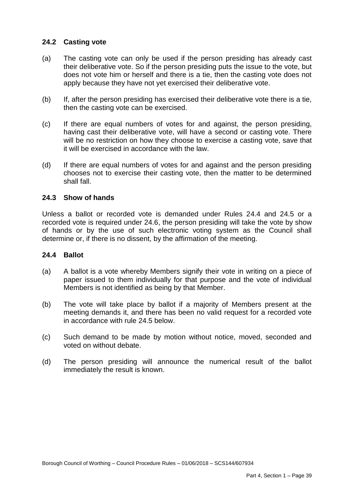## **24.2 Casting vote**

- $(a)$  their deliberative vote. So if the person presiding puts the issue to the vote, but does not vote him or herself and there is a tie, then the casting vote does not The casting vote can only be used if the person presiding has already cast apply because they have not yet exercised their deliberative vote.
- (b) If, after the person presiding has exercised their deliberative vote there is a tie, then the casting vote can be exercised.
- $(c)$  having cast their deliberative vote, will have a second or casting vote. There will be no restriction on how they choose to exercise a casting vote, save that If there are equal numbers of votes for and against, the person presiding, it will be exercised in accordance with the law.
- $(d)$  chooses not to exercise their casting vote, then the matter to be determined shall fall. If there are equal numbers of votes for and against and the person presiding

## **24.3 Show of hands**

 Unless a ballot or recorded vote is demanded under Rules 24.4 and 24.5 or a recorded vote is required under 24.6, the person presiding will take the vote by show of hands or by the use of such electronic voting system as the Council shall determine or, if there is no dissent, by the affirmation of the meeting.

## **24.4 Ballot**

- $(a)$  paper issued to them individually for that purpose and the vote of individual A ballot is a vote whereby Members signify their vote in writing on a piece of Members is not identified as being by that Member.
- meeting demands it, and there has been no valid request for a recorded vote (b) The vote will take place by ballot if a majority of Members present at the in accordance with rule 24.5 below.
- $(c)$ Such demand to be made by motion without notice, moved, seconded and voted on without debate.
- (d) The person presiding will announce the numerical result of the ballot immediately the result is known.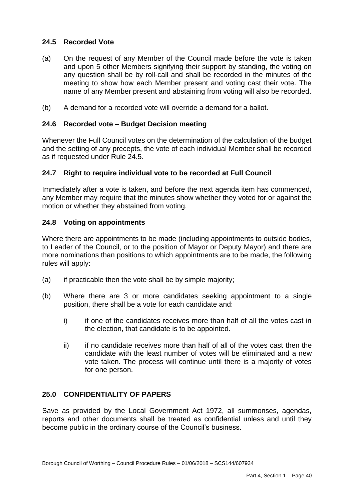## **24.5 Recorded Vote**

- $(a)$  and upon 5 other Members signifying their support by standing, the voting on any question shall be by roll-call and shall be recorded in the minutes of the meeting to show how each Member present and voting cast their vote. The On the request of any Member of the Council made before the vote is taken name of any Member present and abstaining from voting will also be recorded.
- (b) A demand for a recorded vote will override a demand for a ballot.

## **24.6 Recorded vote – Budget Decision meeting**

 Whenever the Full Council votes on the determination of the calculation of the budget and the setting of any precepts, the vote of each individual Member shall be recorded as if requested under Rule 24.5.

#### **24.7 Right to require individual vote to be recorded at Full Council**

 Immediately after a vote is taken, and before the next agenda item has commenced, any Member may require that the minutes show whether they voted for or against the motion or whether they abstained from voting.

#### **24.8 Voting on appointments**

 Where there are appointments to be made (including appointments to outside bodies, to Leader of the Council, or to the position of Mayor or Deputy Mayor) and there are more nominations than positions to which appointments are to be made, the following rules will apply:

- $(a)$ if practicable then the vote shall be by simple majority;
- (b) Where there are 3 or more candidates seeking appointment to a single position, there shall be a vote for each candidate and:
	- $\mathsf{i}$  the election, that candidate is to be appointed. if one of the candidates receives more than half of all the votes cast in
	- $\mathsf{ii}$  candidate with the least number of votes will be eliminated and a new vote taken. The process will continue until there is a majority of votes if no candidate receives more than half of all of the votes cast then the for one person.

## **25.0 CONFIDENTIALITY OF PAPERS**

 Save as provided by the Local Government Act 1972, all summonses, agendas, reports and other documents shall be treated as confidential unless and until they become public in the ordinary course of the Council's business.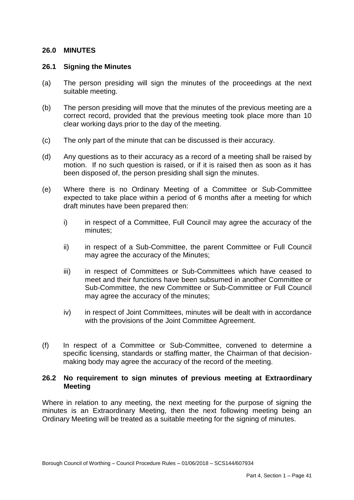## **26.0 MINUTES**

#### **26.1 Signing the Minutes**

- $(a)$ The person presiding will sign the minutes of the proceedings at the next suitable meeting.
- $(b)$  correct record, provided that the previous meeting took place more than 10 clear working days prior to the day of the meeting. The person presiding will move that the minutes of the previous meeting are a
- (c) The only part of the minute that can be discussed is their accuracy.
- $(d)$  motion. If no such question is raised, or if it is raised then as soon as it has been disposed of, the person presiding shall sign the minutes. Any questions as to their accuracy as a record of a meeting shall be raised by
- $(e)$  expected to take place within a period of 6 months after a meeting for which draft minutes have been prepared then: Where there is no Ordinary Meeting of a Committee or Sub-Committee
	- i) in respect of a Committee, Full Council may agree the accuracy of the minutes;
	- ii) in respect of a Sub-Committee, the parent Committee or Full Council may agree the accuracy of the Minutes;
	- iii) in respect of Committees or Sub-Committees which have ceased to meet and their functions have been subsumed in another Committee or Sub-Committee, the new Committee or Sub-Committee or Full Council may agree the accuracy of the minutes;
	- iv) in respect of Joint Committees, minutes will be dealt with in accordance with the provisions of the Joint Committee Agreement.
- $(f)$  specific licensing, standards or staffing matter, the Chairman of that decision- making body may agree the accuracy of the record of the meeting. In respect of a Committee or Sub-Committee, convened to determine a

#### **26.2 No requirement to sign minutes of previous meeting at Extraordinary Meeting**

 Where in relation to any meeting, the next meeting for the purpose of signing the minutes is an Extraordinary Meeting, then the next following meeting being an Ordinary Meeting will be treated as a suitable meeting for the signing of minutes.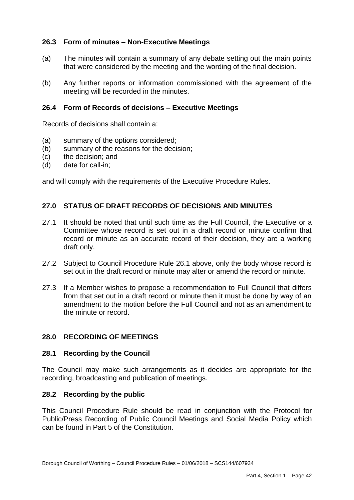## **26.3 Form of minutes – Non-Executive Meetings**

- $(a)$ The minutes will contain a summary of any debate setting out the main points that were considered by the meeting and the wording of the final decision.
- $(b)$ Any further reports or information commissioned with the agreement of the meeting will be recorded in the minutes.

#### **26.4 Form of Records of decisions – Executive Meetings**

Records of decisions shall contain a:

- (a) summary of the options considered;
- (b) summary of the reasons for the decision;
- $(c)$ the decision; and
- $(d)$ date for call-in:

and will comply with the requirements of the Executive Procedure Rules.

## **27.0 STATUS OF DRAFT RECORDS OF DECISIONS AND MINUTES**

- $27.1$  Committee whose record is set out in a draft record or minute confirm that record or minute as an accurate record of their decision, they are a working It should be noted that until such time as the Full Council, the Executive or a draft only.
- 27.2 Subject to Council Procedure Rule 26.1 above, only the body whose record is set out in the draft record or minute may alter or amend the record or minute.
- 27.3 If a Member wishes to propose a recommendation to Full Council that differs from that set out in a draft record or minute then it must be done by way of an amendment to the motion before the Full Council and not as an amendment to the minute or record.

#### **28.0 RECORDING OF MEETINGS**

#### **28.1 Recording by the Council**

 The Council may make such arrangements as it decides are appropriate for the recording, broadcasting and publication of meetings.

#### **28.2 Recording by the public**

 This Council Procedure Rule should be read in conjunction with the Protocol for Public/Press Recording of Public Council Meetings and Social Media Policy which can be found in Part 5 of the Constitution.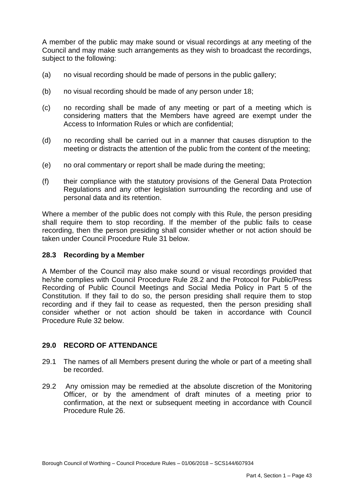A member of the public may make sound or visual recordings at any meeting of the Council and may make such arrangements as they wish to broadcast the recordings, subject to the following:

- (a) no visual recording should be made of persons in the public gallery;
- $(b)$ no visual recording should be made of any person under 18;
- $(c)$  considering matters that the Members have agreed are exempt under the ho recording shall be made of any meeting or part of a meeting which is Access to Information Rules or which are confidential;
- $(d)$  meeting or distracts the attention of the public from the content of the meeting; no recording shall be carried out in a manner that causes disruption to the
- (e) no oral commentary or report shall be made during the meeting;
- $(f)$  Regulations and any other legislation surrounding the recording and use of (f) their compliance with the statutory provisions of the General Data Protection personal data and its retention.

 Where a member of the public does not comply with this Rule, the person presiding shall require them to stop recording. If the member of the public fails to cease recording, then the person presiding shall consider whether or not action should be taken under Council Procedure Rule 31 below.

## **28.3 Recording by a Member**

 A Member of the Council may also make sound or visual recordings provided that he/she complies with Council Procedure Rule 28.2 and the Protocol for Public/Press Recording of Public Council Meetings and Social Media Policy in Part 5 of the Constitution. If they fail to do so, the person presiding shall require them to stop recording and if they fail to cease as requested, then the person presiding shall consider whether or not action should be taken in accordance with Council Procedure Rule 32 below.

## **29.0 RECORD OF ATTENDANCE**

- 29.1 The names of all Members present during the whole or part of a meeting shall be recorded.
- be recorded. 29.2 Any omission may be remedied at the absolute discretion of the Monitoring Officer, or by the amendment of draft minutes of a meeting prior to confirmation, at the next or subsequent meeting in accordance with Council Procedure Rule 26.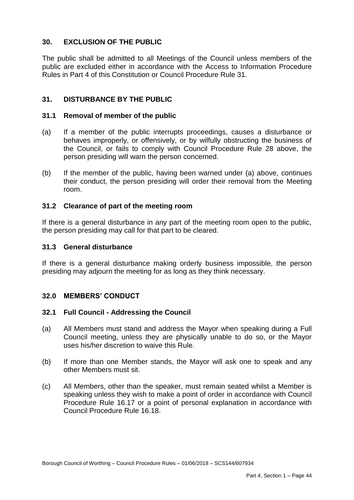## **30. EXCLUSION OF THE PUBLIC**

 The public shall be admitted to all Meetings of the Council unless members of the public are excluded either in accordance with the Access to Information Procedure Rules in Part 4 of this Constitution or Council Procedure Rule 31.

## **31. DISTURBANCE BY THE PUBLIC**

#### **31.1 Removal of member of the public**

- $(a)$  behaves improperly, or offensively, or by wilfully obstructing the business of the Council, or fails to comply with Council Procedure Rule 28 above, the person presiding will warn the person concerned. If a member of the public interrupts proceedings, causes a disturbance or
- $(b)$  their conduct, the person presiding will order their removal from the Meeting If the member of the public, having been warned under (a) above, continues room.

#### **31.2 Clearance of part of the meeting room**

 If there is a general disturbance in any part of the meeting room open to the public, the person presiding may call for that part to be cleared.

#### **31.3 General disturbance**

 If there is a general disturbance making orderly business impossible, the person presiding may adjourn the meeting for as long as they think necessary.

## **32.0 MEMBERS' CONDUCT**

#### **32.1 Full Council - Addressing the Council**

- $(a)$  Council meeting, unless they are physically unable to do so, or the Mayor uses his/her discretion to waive this Rule. All Members must stand and address the Mayor when speaking during a Full
- $(b)$  other Members must sit. If more than one Member stands, the Mayor will ask one to speak and any
- $(c)$  speaking unless they wish to make a point of order in accordance with Council Procedure Rule 16.17 or a point of personal explanation in accordance with All Members, other than the speaker, must remain seated whilst a Member is Council Procedure Rule 16.18.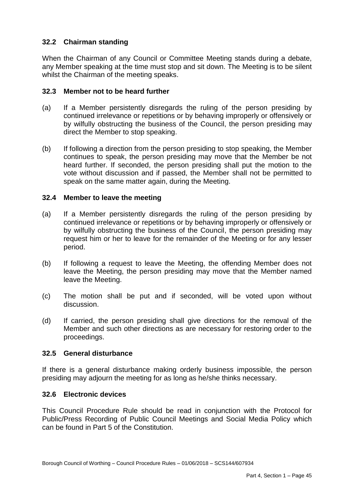# **32.2 Chairman standing**

 When the Chairman of any Council or Committee Meeting stands during a debate, any Member speaking at the time must stop and sit down. The Meeting is to be silent whilst the Chairman of the meeting speaks.

## **32.3 Member not to be heard further**

- $(a)$  continued irrelevance or repetitions or by behaving improperly or offensively or by wilfully obstructing the business of the Council, the person presiding may If a Member persistently disregards the ruling of the person presiding by direct the Member to stop speaking.
- (b) If following a direction from the person presiding to stop speaking, the Member continues to speak, the person presiding may move that the Member be not heard further. If seconded, the person presiding shall put the motion to the vote without discussion and if passed, the Member shall not be permitted to speak on the same matter again, during the Meeting.

#### **32.4 Member to leave the meeting**

- $(a)$  continued irrelevance or repetitions or by behaving improperly or offensively or by wilfully obstructing the business of the Council, the person presiding may request him or her to leave for the remainder of the Meeting or for any lesser If a Member persistently disregards the ruling of the person presiding by period.
- $(b)$  leave the Meeting, the person presiding may move that the Member named If following a request to leave the Meeting, the offending Member does not leave the Meeting.
- $(c)$ The motion shall be put and if seconded, will be voted upon without discussion.
- $(d)$  Member and such other directions as are necessary for restoring order to the If carried, the person presiding shall give directions for the removal of the proceedings.

#### **32.5 General disturbance**

 If there is a general disturbance making orderly business impossible, the person presiding may adjourn the meeting for as long as he/she thinks necessary.

#### **32.6 Electronic devices**

 This Council Procedure Rule should be read in conjunction with the Protocol for Public/Press Recording of Public Council Meetings and Social Media Policy which can be found in Part 5 of the Constitution.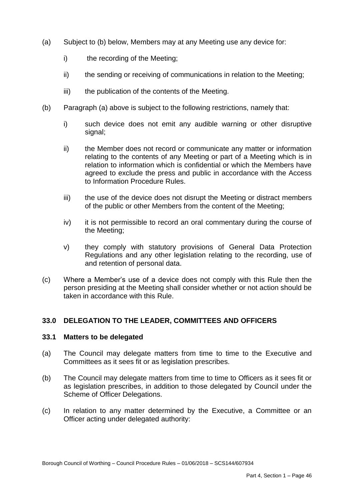- (a) Subject to (b) below, Members may at any Meeting use any device for:
	- $i)$ the recording of the Meeting;
	- ii) the sending or receiving of communications in relation to the Meeting;
	- iii) the publication of the contents of the Meeting.
- (b) Paragraph (a) above is subject to the following restrictions, namely that:
	- i) i) such device does not emit any audible warning or other disruptive signal;
	- $\mathsf{ii}$  relating to the contents of any Meeting or part of a Meeting which is in relation to information which is confidential or which the Members have agreed to exclude the press and public in accordance with the Access to Information Procedure Rules. the Member does not record or communicate any matter or information
	- iii) of the public or other Members from the content of the Meeting; the use of the device does not disrupt the Meeting or distract members
	- iv) it is not permissible to record an oral commentary during the course of the Meeting;
	- V) Regulations and any other legislation relating to the recording, use of and retention of personal data. they comply with statutory provisions of General Data Protection
- (c) Where a Member's use of a device does not comply with this Rule then the person presiding at the Meeting shall consider whether or not action should be taken in accordance with this Rule.

# **33.0 DELEGATION TO THE LEADER, COMMITTEES AND OFFICERS**

#### **33.1 Matters to be delegated**

- $(a)$  Committees as it sees fit or as legislation prescribes. The Council may delegate matters from time to time to the Executive and
- $(b)$  as legislation prescribes, in addition to those delegated by Council under the The Council may delegate matters from time to time to Officers as it sees fit or Scheme of Officer Delegations.
- $(c)$ (c) In relation to any matter determined by the Executive, a Committee or an Officer acting under delegated authority: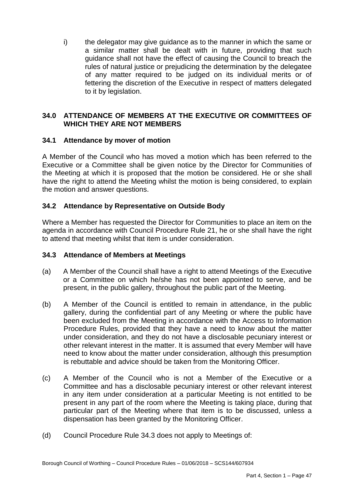i) the delegator may give guidance as to the manner in which the same or a similar matter shall be dealt with in future, providing that such guidance shall not have the effect of causing the Council to breach the rules of natural justice or prejudicing the determination by the delegatee of any matter required to be judged on its individual merits or of fettering the discretion of the Executive in respect of matters delegated to it by legislation.

## **34.0 ATTENDANCE OF MEMBERS AT THE EXECUTIVE OR COMMITTEES OF WHICH THEY ARE NOT MEMBERS**

# **34.1 Attendance by mover of motion**

 A Member of the Council who has moved a motion which has been referred to the Executive or a Committee shall be given notice by the Director for Communities of the Meeting at which it is proposed that the motion be considered. He or she shall have the right to attend the Meeting whilst the motion is being considered, to explain the motion and answer questions.

## **34.2 Attendance by Representative on Outside Body**

 agenda in accordance with Council Procedure Rule 21, he or she shall have the right Where a Member has requested the Director for Communities to place an item on the to attend that meeting whilst that item is under consideration.

## **34.3 Attendance of Members at Meetings**

- (a) A Member of the Council shall have a right to attend Meetings of the Executive or a Committee on which he/she has not been appointed to serve, and be present, in the public gallery, throughout the public part of the Meeting.
- $(b)$  gallery, during the confidential part of any Meeting or where the public have been excluded from the Meeting in accordance with the Access to Information Procedure Rules, provided that they have a need to know about the matter under consideration, and they do not have a disclosable pecuniary interest or other relevant interest in the matter. It is assumed that every Member will have need to know about the matter under consideration, although this presumption A Member of the Council is entitled to remain in attendance, in the public is rebuttable and advice should be taken from the Monitoring Officer.
- $(c)$  Committee and has a disclosable pecuniary interest or other relevant interest in any item under consideration at a particular Meeting is not entitled to be present in any part of the room where the Meeting is taking place, during that particular part of the Meeting where that item is to be discussed, unless a A Member of the Council who is not a Member of the Executive or a dispensation has been granted by the Monitoring Officer.
- (d) Council Procedure Rule 34.3 does not apply to Meetings of: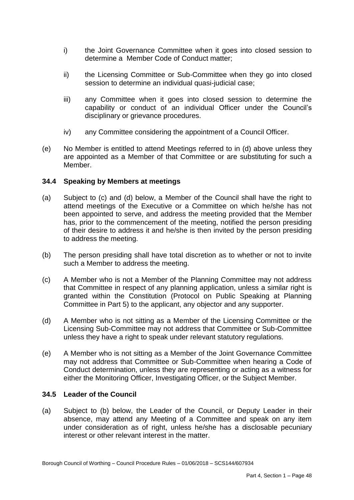- $i)$  determine a Member Code of Conduct matter; the Joint Governance Committee when it goes into closed session to
- $\mathsf{ii}$ the Licensing Committee or Sub-Committee when they go into closed session to determine an individual quasi-judicial case;
- $iii)$  capability or conduct of an individual Officer under the Council's any Committee when it goes into closed session to determine the disciplinary or grievance procedures.
- iv) any Committee considering the appointment of a Council Officer.
- (e) No Member is entitled to attend Meetings referred to in (d) above unless they are appointed as a Member of that Committee or are substituting for such a Member.

# **34.4 Speaking by Members at meetings**

- $(a)$  attend meetings of the Executive or a Committee on which he/she has not been appointed to serve, and address the meeting provided that the Member has, prior to the commencement of the meeting, notified the person presiding of their desire to address it and he/she is then invited by the person presiding to address the meeting. Subject to (c) and (d) below, a Member of the Council shall have the right to
- $(b)$  such a Member to address the meeting. The person presiding shall have total discretion as to whether or not to invite
- $(c)$  that Committee in respect of any planning application, unless a similar right is granted within the Constitution (Protocol on Public Speaking at Planning A Member who is not a Member of the Planning Committee may not address Committee in Part 5) to the applicant, any objector and any supporter.
- $(d)$  Licensing Sub-Committee may not address that Committee or Sub-Committee A Member who is not sitting as a Member of the Licensing Committee or the unless they have a right to speak under relevant statutory regulations.
- $(e)$  may not address that Committee or Sub-Committee when hearing a Code of Conduct determination, unless they are representing or acting as a witness for A Member who is not sitting as a Member of the Joint Governance Committee either the Monitoring Officer, Investigating Officer, or the Subject Member.

## **34.5 Leader of the Council**

 $(a)$  absence, may attend any Meeting of a Committee and speak on any item under consideration as of right, unless he/she has a disclosable pecuniary interest or other relevant interest in the matter. Subject to (b) below, the Leader of the Council, or Deputy Leader in their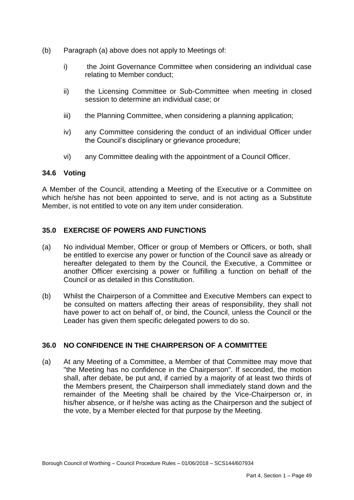- (b) Paragraph (a) above does not apply to Meetings of:
	- i) the Joint Governance Committee when considering an individual case relating to Member conduct;
	- ii) the Licensing Committee or Sub-Committee when meeting in closed session to determine an individual case; or
	- iii) the Planning Committee, when considering a planning application;
	- $iv)$ any Committee considering the conduct of an individual Officer under the Council's disciplinary or grievance procedure;
	- vi) any Committee dealing with the appointment of a Council Officer.

#### **34.6 Voting**

 A Member of the Council, attending a Meeting of the Executive or a Committee on which he/she has not been appointed to serve, and is not acting as a Substitute Member, is not entitled to vote on any item under consideration.

#### **35.0 EXERCISE OF POWERS AND FUNCTIONS**

- (a) No individual Member, Officer or group of Members or Officers, or both, shall be entitled to exercise any power or function of the Council save as already or hereafter delegated to them by the Council, the Executive, a Committee or another Officer exercising a power or fulfilling a function on behalf of the Council or as detailed in this Constitution.
- (b) Whilst the Chairperson of a Committee and Executive Members can expect to be consulted on matters affecting their areas of responsibility, they shall not have power to act on behalf of, or bind, the Council, unless the Council or the Leader has given them specific delegated powers to do so.

#### **36.0 NO CONFIDENCE IN THE CHAIRPERSON OF A COMMITTEE**

 $(a)$  "the Meeting has no confidence in the Chairperson". If seconded, the motion shall, after debate, be put and, if carried by a majority of at least two thirds of the Members present, the Chairperson shall immediately stand down and the remainder of the Meeting shall be chaired by the Vice-Chairperson or, in his/her absence, or if he/she was acting as the Chairperson and the subject of the vote, by a Member elected for that purpose by the Meeting. At any Meeting of a Committee, a Member of that Committee may move that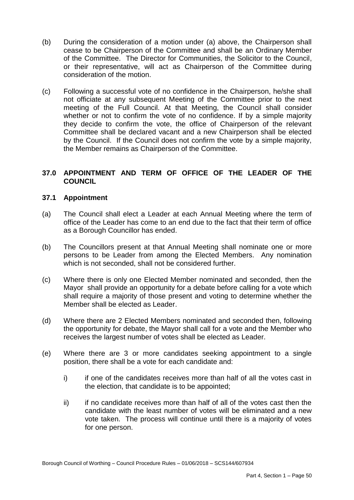- $(b)$  cease to be Chairperson of the Committee and shall be an Ordinary Member of the Committee. The Director for Communities, the Solicitor to the Council, or their representative, will act as Chairperson of the Committee during consideration of the motion. During the consideration of a motion under (a) above, the Chairperson shall
- (c) Following a successful vote of no confidence in the Chairperson, he/she shall not officiate at any subsequent Meeting of the Committee prior to the next meeting of the Full Council. At that Meeting, the Council shall consider whether or not to confirm the vote of no confidence. If by a simple majority they decide to confirm the vote, the office of Chairperson of the relevant Committee shall be declared vacant and a new Chairperson shall be elected by the Council. If the Council does not confirm the vote by a simple majority, the Member remains as Chairperson of the Committee.

## **37.0 APPOINTMENT AND TERM OF OFFICE OF THE LEADER OF THE COUNCIL**

## **37.1 Appointment**

- $(a)$  office of the Leader has come to an end due to the fact that their term of office The Council shall elect a Leader at each Annual Meeting where the term of as a Borough Councillor has ended.
- $(b)$  persons to be Leader from among the Elected Members. Any nomination which is not seconded, shall not be considered further. The Councillors present at that Annual Meeting shall nominate one or more
- $(c)$  Mayor shall provide an opportunity for a debate before calling for a vote which shall require a majority of those present and voting to determine whether the Where there is only one Elected Member nominated and seconded, then the Member shall be elected as Leader.
- $(d)$  the opportunity for debate, the Mayor shall call for a vote and the Member who Where there are 2 Elected Members nominated and seconded then, following receives the largest number of votes shall be elected as Leader.
- (e) Where there are 3 or more candidates seeking appointment to a single position, there shall be a vote for each candidate and:
	- i) the election, that candidate is to be appointed; if one of the candidates receives more than half of all the votes cast in
	- $\mathsf{ii}$  candidate with the least number of votes will be eliminated and a new vote taken. The process will continue until there is a majority of votes if no candidate receives more than half of all of the votes cast then the for one person.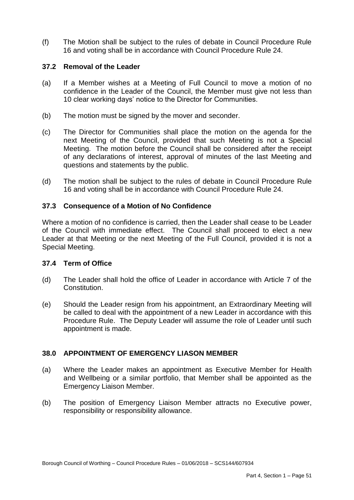$(f)$  16 and voting shall be in accordance with Council Procedure Rule 24. The Motion shall be subject to the rules of debate in Council Procedure Rule

## **37.2 Removal of the Leader**

- $(a)$  confidence in the Leader of the Council, the Member must give not less than 10 clear working days' notice to the Director for Communities. If a Member wishes at a Meeting of Full Council to move a motion of no
- $(b)$ The motion must be signed by the mover and seconder.
- $(c)$  next Meeting of the Council, provided that such Meeting is not a Special Meeting. The motion before the Council shall be considered after the receipt of any declarations of interest, approval of minutes of the last Meeting and The Director for Communities shall place the motion on the agenda for the questions and statements by the public.
- $(d)$ The motion shall be subject to the rules of debate in Council Procedure Rule 16 and voting shall be in accordance with Council Procedure Rule 24.

#### **37.3 Consequence of a Motion of No Confidence**

 Where a motion of no confidence is carried, then the Leader shall cease to be Leader of the Council with immediate effect. The Council shall proceed to elect a new Leader at that Meeting or the next Meeting of the Full Council, provided it is not a Special Meeting.

#### **37.4 Term of Office**

- $(d)$ The Leader shall hold the office of Leader in accordance with Article 7 of the Constitution.
- $(e)$  be called to deal with the appointment of a new Leader in accordance with this Procedure Rule. The Deputy Leader will assume the role of Leader until such Should the Leader resign from his appointment, an Extraordinary Meeting will appointment is made.

## **38.0 APPOINTMENT OF EMERGENCY LIASON MEMBER**

- $(a)$  and Wellbeing or a similar portfolio, that Member shall be appointed as the **Emergency Liaison Member.** Where the Leader makes an appointment as Executive Member for Health
- $(b)$ The position of Emergency Liaison Member attracts no Executive power, responsibility or responsibility allowance.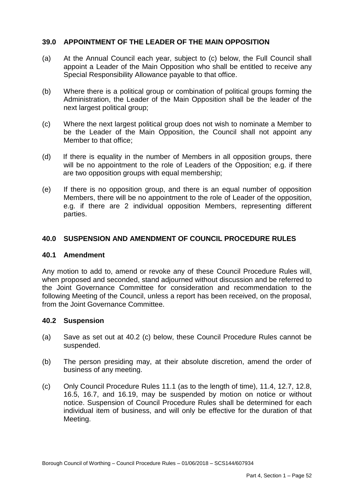## **39.0 APPOINTMENT OF THE LEADER OF THE MAIN OPPOSITION**

- $(a)$  appoint a Leader of the Main Opposition who shall be entitled to receive any At the Annual Council each year, subject to (c) below, the Full Council shall Special Responsibility Allowance payable to that office.
- $(b)$  Administration, the Leader of the Main Opposition shall be the leader of the next largest political group; Where there is a political group or combination of political groups forming the
- $(c)$  be the Leader of the Main Opposition, the Council shall not appoint any Where the next largest political group does not wish to nominate a Member to Member to that office:
- $(d)$  will be no appointment to the role of Leaders of the Opposition; e.g. if there If there is equality in the number of Members in all opposition groups, there are two opposition groups with equal membership;
- $(e)$  Members, there will be no appointment to the role of Leader of the opposition, e.g. if there are 2 individual opposition Members, representing different If there is no opposition group, and there is an equal number of opposition parties.

#### **40.0 SUSPENSION AND AMENDMENT OF COUNCIL PROCEDURE RULES**

#### **40.1 Amendment**

 Any motion to add to, amend or revoke any of these Council Procedure Rules will, when proposed and seconded, stand adjourned without discussion and be referred to the Joint Governance Committee for consideration and recommendation to the following Meeting of the Council, unless a report has been received, on the proposal, from the Joint Governance Committee.

#### **40.2 Suspension**

- $(a)$ Save as set out at 40.2 (c) below, these Council Procedure Rules cannot be suspended.
- $(b)$ The person presiding may, at their absolute discretion, amend the order of business of any meeting.
- $(c)$  16.5, 16.7, and 16.19, may be suspended by motion on notice or without notice. Suspension of Council Procedure Rules shall be determined for each individual item of business, and will only be effective for the duration of that Only Council Procedure Rules 11.1 (as to the length of time), 11.4, 12.7, 12.8, Meeting.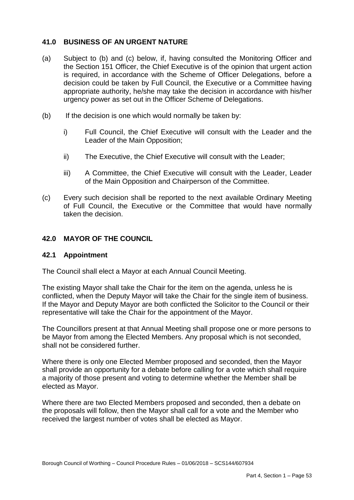## **41.0 BUSINESS OF AN URGENT NATURE**

- $(a)$  the Section 151 Officer, the Chief Executive is of the opinion that urgent action is required, in accordance with the Scheme of Officer Delegations, before a decision could be taken by Full Council, the Executive or a Committee having appropriate authority, he/she may take the decision in accordance with his/her urgency power as set out in the Officer Scheme of Delegations.<br>(b) If the decision is one which would normally be taken by: Subject to (b) and (c) below, if, having consulted the Monitoring Officer and
- $(b)$ 
	- i) Full Council, the Chief Executive will consult with the Leader and the Leader of the Main Opposition;
	- ii) The Executive, the Chief Executive will consult with the Leader;
	- iii) A Committee, the Chief Executive will consult with the Leader, Leader of the Main Opposition and Chairperson of the Committee.
- $(c)$  of Full Council, the Executive or the Committee that would have normally Every such decision shall be reported to the next available Ordinary Meeting taken the decision.

## **42.0 MAYOR OF THE COUNCIL**

#### **42.1 Appointment**

The Council shall elect a Mayor at each Annual Council Meeting.

 The existing Mayor shall take the Chair for the item on the agenda, unless he is representative will take the Chair for the appointment of the Mayor. conflicted, when the Deputy Mayor will take the Chair for the single item of business. If the Mayor and Deputy Mayor are both conflicted the Solicitor to the Council or their

 shall not be considered further. The Councillors present at that Annual Meeting shall propose one or more persons to be Mayor from among the Elected Members. Any proposal which is not seconded,

Where there is only one Elected Member proposed and seconded, then the Mayor shall provide an opportunity for a debate before calling for a vote which shall require a majority of those present and voting to determine whether the Member shall be elected as Mayor.

 Where there are two Elected Members proposed and seconded, then a debate on the proposals will follow, then the Mayor shall call for a vote and the Member who received the largest number of votes shall be elected as Mayor.